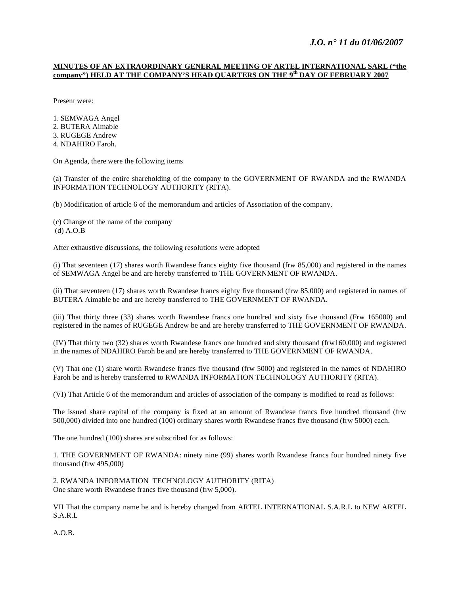## *J.O. n° 11 du 01/06/2007*

### **MINUTES OF AN EXTRAORDINARY GENERAL MEETING OF ARTEL INTERNATIONAL SARL ("the company") HELD AT THE COMPANY'S HEAD QUARTERS ON THE 9th DAY OF FEBRUARY 2007**

Present were:

1. SEMWAGA Angel 2. BUTERA Aimable 3. RUGEGE Andrew 4. NDAHIRO Faroh.

On Agenda, there were the following items

(a) Transfer of the entire shareholding of the company to the GOVERNMENT OF RWANDA and the RWANDA INFORMATION TECHNOLOGY AUTHORITY (RITA).

(b) Modification of article 6 of the memorandum and articles of Association of the company.

(c) Change of the name of the company (d) A.O.B

After exhaustive discussions, the following resolutions were adopted

(i) That seventeen (17) shares worth Rwandese francs eighty five thousand (frw 85,000) and registered in the names of SEMWAGA Angel be and are hereby transferred to THE GOVERNMENT OF RWANDA.

(ii) That seventeen (17) shares worth Rwandese francs eighty five thousand (frw 85,000) and registered in names of BUTERA Aimable be and are hereby transferred to THE GOVERNMENT OF RWANDA.

(iii) That thirty three (33) shares worth Rwandese francs one hundred and sixty five thousand (Frw 165000) and registered in the names of RUGEGE Andrew be and are hereby transferred to THE GOVERNMENT OF RWANDA.

(IV) That thirty two (32) shares worth Rwandese francs one hundred and sixty thousand (frw160,000) and registered in the names of NDAHIRO Faroh be and are hereby transferred to THE GOVERNMENT OF RWANDA.

(V) That one (1) share worth Rwandese francs five thousand (frw 5000) and registered in the names of NDAHIRO Faroh be and is hereby transferred to RWANDA INFORMATION TECHNOLOGY AUTHORITY (RITA).

(VI) That Article 6 of the memorandum and articles of association of the company is modified to read as follows:

The issued share capital of the company is fixed at an amount of Rwandese francs five hundred thousand (frw 500,000) divided into one hundred (100) ordinary shares worth Rwandese francs five thousand (frw 5000) each.

The one hundred (100) shares are subscribed for as follows:

1. THE GOVERNMENT OF RWANDA: ninety nine (99) shares worth Rwandese francs four hundred ninety five thousand (frw 495,000)

2. RWANDA INFORMATION TECHNOLOGY AUTHORITY (RITA) One share worth Rwandese francs five thousand (frw 5,000).

VII That the company name be and is hereby changed from ARTEL INTERNATIONAL S.A.R.L to NEW ARTEL S.A.R.L

A.O.B.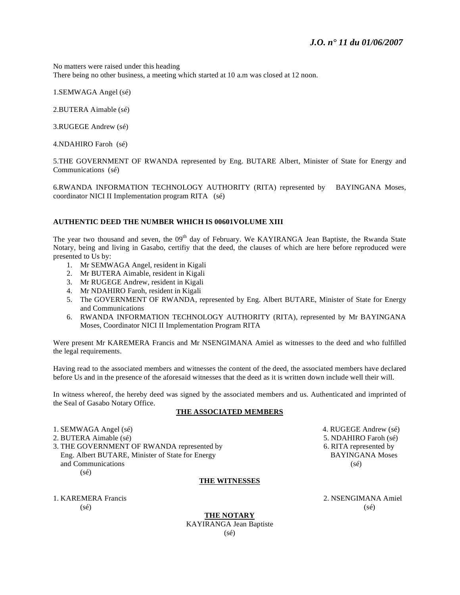No matters were raised under this heading There being no other business, a meeting which started at 10 a.m was closed at 12 noon.

1.SEMWAGA Angel (sé)

2.BUTERA Aimable (sé)

3.RUGEGE Andrew (sé)

4.NDAHIRO Faroh (sé)

5.THE GOVERNMENT OF RWANDA represented by Eng. BUTARE Albert, Minister of State for Energy and Communications (sé)

6.RWANDA INFORMATION TECHNOLOGY AUTHORITY (RITA) represented by BAYINGANA Moses, coordinator NICI II Implementation program RITA (sé)

### **AUTHENTIC DEED THE NUMBER WHICH IS 00601VOLUME XIII**

The year two thousand and seven, the 09<sup>th</sup> day of February. We KAYIRANGA Jean Baptiste, the Rwanda State Notary, being and living in Gasabo, certifiy that the deed, the clauses of which are here before reproduced were presented to Us by:

- 1. Mr SEMWAGA Angel, resident in Kigali
- 2. Mr BUTERA Aimable, resident in Kigali
- 3. Mr RUGEGE Andrew, resident in Kigali
- 4. Mr NDAHIRO Faroh, resident in Kigali
- 5. The GOVERNMENT OF RWANDA, represented by Eng. Albert BUTARE, Minister of State for Energy and Communications
- 6. RWANDA INFORMATION TECHNOLOGY AUTHORITY (RITA), represented by Mr BAYINGANA Moses, Coordinator NICI II Implementation Program RITA

Were present Mr KAREMERA Francis and Mr NSENGIMANA Amiel as witnesses to the deed and who fulfilled the legal requirements.

Having read to the associated members and witnesses the content of the deed, the associated members have declared before Us and in the presence of the aforesaid witnesses that the deed as it is written down include well their will.

In witness whereof, the hereby deed was signed by the associated members and us. Authenticated and imprinted of the Seal of Gasabo Notary Office.

#### **THE ASSOCIATED MEMBERS**

1. SEMWAGA Angel (sé) 2. a 4. RUGEGE Andrew (sé)

- 
- 3. THE GOVERNMENT OF RWANDA represented by  $\begin{array}{ccc} 3. \text{THE} & 6. \text{RITA represented by} \\ \text{Eng. Albert BUTARE. Minister of State for Energy} & \text{BAYINGANA Moses} \end{array}$ Eng. Albert BUTARE, Minister of State for Energy and Communications (sé) (sé)

#### **THE WITNESSES**

 $(s\acute{e})$  (se) (se)

2. BUTERA Aimable (sé) 6. NDAHIRO Faroh (sé)

1. KAREMERA Francis 2. NSENGIMANA Amiel

**THE NOTARY** KAYIRANGA Jean Baptiste (sé)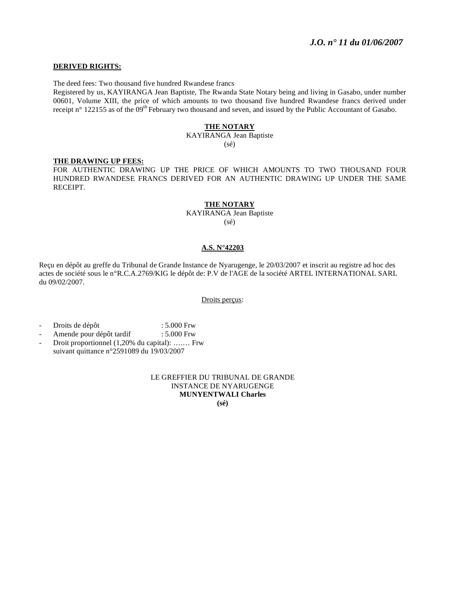### **DERIVED RIGHTS:**

The deed fees: Two thousand five hundred Rwandese francs

Registered by us, KAYIRANGA Jean Baptiste, The Rwanda State Notary being and living in Gasabo, under number 00601, Volume XIII, the price of which amounts to two thousand five hundred Rwandese francs derived under receipt n° 122155 as of the  $09<sup>th</sup>$  February two thousand and seven, and issued by the Public Accountant of Gasabo.

### **THE NOTARY**

KAYIRANGA Jean Baptiste (sé)

### **THE DRAWING UP FEES:**

FOR AUTHENTIC DRAWING UP THE PRICE OF WHICH AMOUNTS TO TWO THOUSAND FOUR HUNDRED RWANDESE FRANCS DERIVED FOR AN AUTHENTIC DRAWING UP UNDER THE SAME RECEIPT.

#### **THE NOTARY**

KAYIRANGA Jean Baptiste (sé)

#### **A.S. N°42203**

Reçu en dépôt au greffe du Tribunal de Grande Instance de Nyarugenge, le 20/03/2007 et inscrit au registre ad hoc des actes de société sous le n°R.C.A.2769/KIG le dépôt de: P.V de l'AGE de la société ARTEL INTERNATIONAL SARL du 09/02/2007.

Droits perçus:

- Droits de dépôt : 5.000 Frw
- Amende pour dépôt tardif : 5.000 Frw
- Droit proportionnel (1,20% du capital): ….… Frw suivant quittance n°2591089 du 19/03/2007

### LE GREFFIER DU TRIBUNAL DE GRANDE INSTANCE DE NYARUGENGE **MUNYENTWALI Charles (sé)**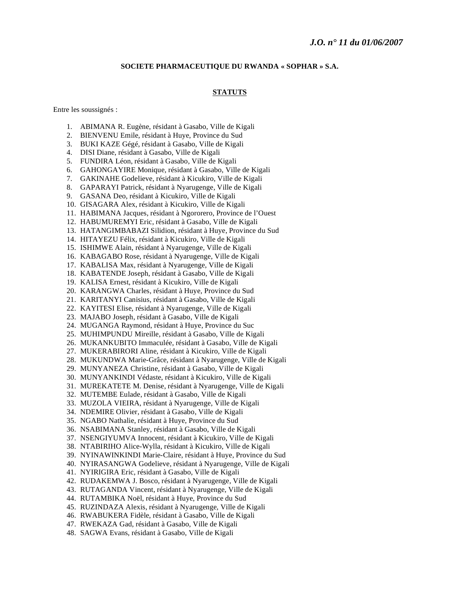### **SOCIETE PHARMACEUTIQUE DU RWANDA « SOPHAR » S.A.**

#### **STATUTS**

Entre les soussignés :

- 1. ABIMANA R. Eugène, résidant à Gasabo, Ville de Kigali
- 2. BIENVENU Emile, résidant à Huye, Province du Sud
- 3. BUKI KAZE Gégé, résidant à Gasabo, Ville de Kigali
- 4. DISI Diane, résidant à Gasabo, Ville de Kigali
- 5. FUNDIRA Léon, résidant à Gasabo, Ville de Kigali
- 6. GAHONGAYIRE Monique, résidant à Gasabo, Ville de Kigali
- 7. GAKINAHE Godelieve, résidant à Kicukiro, Ville de Kigali
- 8. GAPARAYI Patrick, résidant à Nyarugenge, Ville de Kigali
- 9. GASANA Deo, résidant à Kicukiro, Ville de Kigali
- 10. GISAGARA Alex, résidant à Kicukiro, Ville de Kigali
- 11. HABIMANA Jacques, résidant à Ngororero, Province de l'Ouest
- 12. HABUMUREMYI Eric, résidant à Gasabo, Ville de Kigali
- 13. HATANGIMBABAZI Silidion, résidant à Huye, Province du Sud
- 14. HITAYEZU Félix, résidant à Kicukiro, Ville de Kigali
- 15. ISHIMWE Alain, résidant à Nyarugenge, Ville de Kigali
- 16. KABAGABO Rose, résidant à Nyarugenge, Ville de Kigali
- 17. KABALISA Max, résidant à Nyarugenge, Ville de Kigali
- 18. KABATENDE Joseph, résidant à Gasabo, Ville de Kigali
- 19. KALISA Ernest, résidant à Kicukiro, Ville de Kigali
- 20. KARANGWA Charles, résidant à Huye, Province du Sud
- 21. KARITANYI Canisius, résidant à Gasabo, Ville de Kigali
- 22. KAYITESI Elise, résidant à Nyarugenge, Ville de Kigali
- 23. MAJABO Joseph, résidant à Gasabo, Ville de Kigali
- 24. MUGANGA Raymond, résidant à Huye, Province du Suc
- 25. MUHIMPUNDU Mireille, résidant à Gasabo, Ville de Kigali
- 26. MUKANKUBITO Immaculée, résidant à Gasabo, Ville de Kigali
- 27. MUKERABIRORI Aline, résidant à Kicukiro, Ville de Kigali
- 28. MUKUNDWA Marie-Grâce, résidant à Nyarugenge, Ville de Kigali
- 29. MUNYANEZA Christine, résidant à Gasabo, Ville de Kigali
- 30. MUNYANKINDI Védaste, résidant à Kicukiro, Ville de Kigali
- 31. MUREKATETE M. Denise, résidant à Nyarugenge, Ville de Kigali
- 32. MUTEMBE Eulade, résidant à Gasabo, Ville de Kigali
- 33. MUZOLA VIEIRA, résidant à Nyarugenge, Ville de Kigali
- 34. NDEMIRE Olivier, résidant à Gasabo, Ville de Kigali
- 35. NGABO Nathalie, résidant à Huye, Province du Sud
- 36. NSABIMANA Stanley, résidant à Gasabo, Ville de Kigali
- 37. NSENGIYUMVA Innocent, résidant à Kicukiro, Ville de Kigali
- 38. NTABIRIHO Alice-Wylla, résidant à Kicukiro, Ville de Kigali
- 39. NYINAWINKINDI Marie-Claire, résidant à Huye, Province du Sud
- 40. NYIRASANGWA Godelieve, résidant à Nyarugenge, Ville de Kigali
- 41. NYIRIGIRA Eric, résidant à Gasabo, Ville de Kigali
- 42. RUDAKEMWA J. Bosco, résidant à Nyarugenge, Ville de Kigali
- 43. RUTAGANDA Vincent, résidant à Nyarugenge, Ville de Kigali
- 44. RUTAMBIKA Noël, résidant à Huye, Province du Sud
- 45. RUZINDAZA Alexis, résidant à Nyarugenge, Ville de Kigali
- 46. RWABUKERA Fidèle, résidant à Gasabo, Ville de Kigali
- 47. RWEKAZA Gad, résidant à Gasabo, Ville de Kigali
- 48. SAGWA Evans, résidant à Gasabo, Ville de Kigali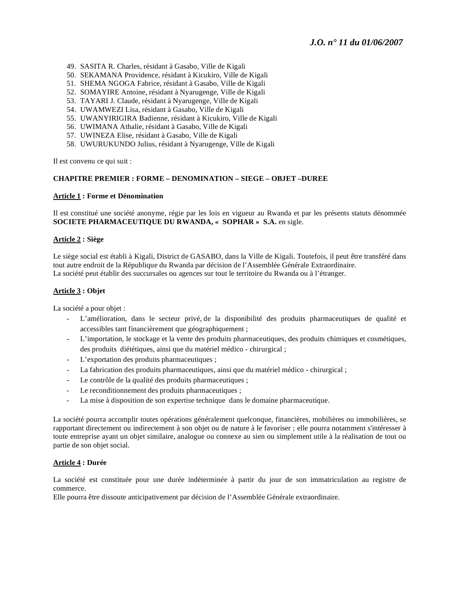- 49. SASITA R. Charles, résidant à Gasabo, Ville de Kigali
- 50. SEKAMANA Providence, résidant à Kicukiro, Ville de Kigali
- 51. SHEMA NGOGA Fabrice, résidant à Gasabo, Ville de Kigali
- 52. SOMAYIRE Antoine, résidant à Nyarugenge, Ville de Kigali
- 53. TAYARI J. Claude, résidant à Nyarugenge, Ville de Kigali
- 54. UWAMWEZI Lisa, résidant à Gasabo, Ville de Kigali
- 55. UWANYIRIGIRA Badienne, résidant à Kicukiro, Ville de Kigali
- 56. UWIMANA Athalie, résidant à Gasabo, Ville de Kigali
- 57. UWINEZA Elise, résidant à Gasabo, Ville de Kigali
- 58. UWURUKUNDO Julius, résidant à Nyarugenge, Ville de Kigali

Il est convenu ce qui suit :

### **CHAPITRE PREMIER : FORME – DENOMINATION – SIEGE – OBJET –DUREE**

#### **Article 1 : Forme et Dénomination**

Il est constitué une société anonyme, régie par les lois en vigueur au Rwanda et par les présents statuts dénommée **SOCIETE PHARMACEUTIQUE DU RWANDA, « SOPHAR » S.A.** en sigle.

### **Article 2 : Siège**

Le siège social est établi à Kigali, District de GASABO, dans la Ville de Kigali. Toutefois, il peut être transféré dans tout autre endroit de la République du Rwanda par décision de l'Assemblée Générale Extraordinaire. La société peut établir des succursales ou agences sur tout le territoire du Rwanda ou à l'étranger.

### **Article 3 : Objet**

La société a pour objet :

- L'amélioration, dans le secteur privé, de la disponibilité des produits pharmaceutiques de qualité et accessibles tant financièrement que géographiquement ;
- L'importation, le stockage et la vente des produits pharmaceutiques, des produits chimiques et cosmétiques, des produits diététiques, ainsi que du matériel médico - chirurgical ;
- L'exportation des produits pharmaceutiques ;
- La fabrication des produits pharmaceutiques, ainsi que du matériel médico chirurgical ;
- Le contrôle de la qualité des produits pharmaceutiques ;
- Le reconditionnement des produits pharmaceutiques ;
- La mise à disposition de son expertise technique dans le domaine pharmaceutique.

La société pourra accomplir toutes opérations généralement quelconque, financières, mobilières ou immobilières, se rapportant directement ou indirectement à son objet ou de nature à le favoriser ; elle pourra notamment s'intéresser à toute entreprise ayant un objet similaire, analogue ou connexe au sien ou simplement utile à la réalisation de tout ou partie de son objet social.

### **Article 4 : Durée**

La société est constituée pour une durée indéterminée à partir du jour de son immatriculation au registre de commerce.

Elle pourra être dissoute anticipativement par décision de l'Assemblée Générale extraordinaire.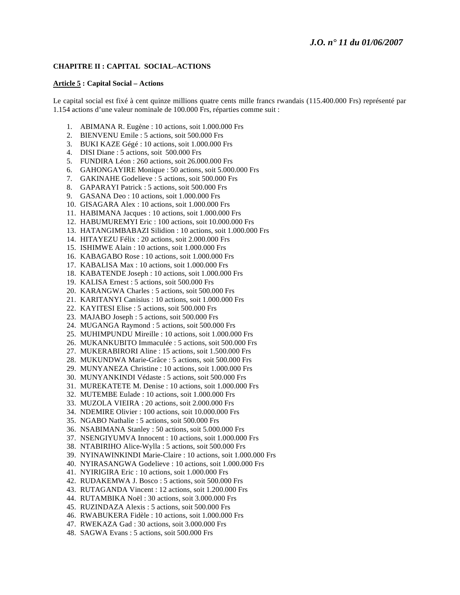### **CHAPITRE II : CAPITAL SOCIAL–ACTIONS**

#### **Article 5 : Capital Social – Actions**

Le capital social est fixé à cent quinze millions quatre cents mille francs rwandais (115.400.000 Frs) représenté par 1.154 actions d'une valeur nominale de 100.000 Frs, réparties comme suit :

- 1. ABIMANA R. Eugène : 10 actions, soit 1.000.000 Frs
- 2. BIENVENU Emile : 5 actions, soit 500.000 Frs
- 3. BUKI KAZE Gégé : 10 actions, soit 1.000.000 Frs
- 4. DISI Diane : 5 actions, soit 500.000 Frs
- 5. FUNDIRA Léon : 260 actions, soit 26.000.000 Frs
- 6. GAHONGAYIRE Monique : 50 actions, soit 5.000.000 Frs
- 7. GAKINAHE Godelieve : 5 actions, soit 500.000 Frs
- 8. GAPARAYI Patrick : 5 actions, soit 500.000 Frs
- 9. GASANA Deo : 10 actions, soit 1.000.000 Frs
- 10. GISAGARA Alex : 10 actions, soit 1.000.000 Frs
- 11. HABIMANA Jacques : 10 actions, soit 1.000.000 Frs
- 12. HABUMUREMYI Eric : 100 actions, soit 10.000.000 Frs
- 13. HATANGIMBABAZI Silidion : 10 actions, soit 1.000.000 Frs
- 14. HITAYEZU Félix : 20 actions, soit 2.000.000 Frs
- 15. ISHIMWE Alain : 10 actions, soit 1.000.000 Frs
- 16. KABAGABO Rose : 10 actions, soit 1.000.000 Frs
- 17. KABALISA Max : 10 actions, soit 1.000.000 Frs
- 18. KABATENDE Joseph : 10 actions, soit 1.000.000 Frs
- 19. KALISA Ernest : 5 actions, soit 500.000 Frs
- 20. KARANGWA Charles : 5 actions, soit 500.000 Frs
- 21. KARITANYI Canisius : 10 actions, soit 1.000.000 Frs
- 22. KAYITESI Elise : 5 actions, soit 500.000 Frs
- 23. MAJABO Joseph : 5 actions, soit 500.000 Frs
- 24. MUGANGA Raymond : 5 actions, soit 500.000 Frs
- 25. MUHIMPUNDU Mireille : 10 actions, soit 1.000.000 Frs
- 26. MUKANKUBITO Immaculée : 5 actions, soit 500.000 Frs
- 27. MUKERABIRORI Aline : 15 actions, soit 1.500.000 Frs
- 28. MUKUNDWA Marie-Grâce : 5 actions, soit 500.000 Frs
- 29. MUNYANEZA Christine : 10 actions, soit 1.000.000 Frs
- 30. MUNYANKINDI Védaste : 5 actions, soit 500.000 Frs
- 31. MUREKATETE M. Denise : 10 actions, soit 1.000.000 Frs
- 32. MUTEMBE Eulade : 10 actions, soit 1.000.000 Frs
- 33. MUZOLA VIEIRA : 20 actions, soit 2.000.000 Frs
- 34. NDEMIRE Olivier : 100 actions, soit 10.000.000 Frs
- 35. NGABO Nathalie : 5 actions, soit 500.000 Frs
- 36. NSABIMANA Stanley : 50 actions, soit 5.000.000 Frs
- 37. NSENGIYUMVA Innocent : 10 actions, soit 1.000.000 Frs
- 38. NTABIRIHO Alice-Wylla : 5 actions, soit 500.000 Frs
- 39. NYINAWINKINDI Marie-Claire : 10 actions, soit 1.000.000 Frs
- 40. NYIRASANGWA Godelieve : 10 actions, soit 1.000.000 Frs
- 41. NYIRIGIRA Eric : 10 actions, soit 1.000.000 Frs
- 42. RUDAKEMWA J. Bosco : 5 actions, soit 500.000 Frs
- 43. RUTAGANDA Vincent : 12 actions, soit 1.200.000 Frs
- 44. RUTAMBIKA Noël : 30 actions, soit 3.000.000 Frs
- 45. RUZINDAZA Alexis : 5 actions, soit 500.000 Frs
- 46. RWABUKERA Fidèle : 10 actions, soit 1.000.000 Frs
- 47. RWEKAZA Gad : 30 actions, soit 3.000.000 Frs
- 48. SAGWA Evans : 5 actions, soit 500.000 Frs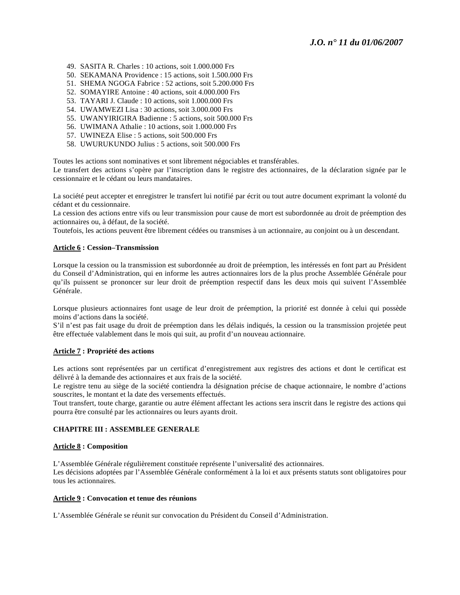- 49. SASITA R. Charles : 10 actions, soit 1.000.000 Frs
- 50. SEKAMANA Providence : 15 actions, soit 1.500.000 Frs
- 51. SHEMA NGOGA Fabrice : 52 actions, soit 5.200.000 Frs
- 52. SOMAYIRE Antoine : 40 actions, soit 4.000.000 Frs
- 53. TAYARI J. Claude : 10 actions, soit 1.000.000 Frs
- 54. UWAMWEZI Lisa : 30 actions, soit 3.000.000 Frs
- 55. UWANYIRIGIRA Badienne : 5 actions, soit 500.000 Frs
- 56. UWIMANA Athalie : 10 actions, soit 1.000.000 Frs
- 57. UWINEZA Elise : 5 actions, soit 500.000 Frs
- 58. UWURUKUNDO Julius : 5 actions, soit 500.000 Frs

Toutes les actions sont nominatives et sont librement négociables et transférables.

Le transfert des actions s'opère par l'inscription dans le registre des actionnaires, de la déclaration signée par le cessionnaire et le cédant ou leurs mandataires.

La société peut accepter et enregistrer le transfert lui notifié par écrit ou tout autre document exprimant la volonté du cédant et du cessionnaire.

La cession des actions entre vifs ou leur transmission pour cause de mort est subordonnée au droit de préemption des actionnaires ou, à défaut, de la société.

Toutefois, les actions peuvent être librement cédées ou transmises à un actionnaire, au conjoint ou à un descendant.

### **Article 6 : Cession–Transmission**

Lorsque la cession ou la transmission est subordonnée au droit de préemption, les intéressés en font part au Président du Conseil d'Administration, qui en informe les autres actionnaires lors de la plus proche Assemblée Générale pour qu'ils puissent se prononcer sur leur droit de préemption respectif dans les deux mois qui suivent l'Assemblée Générale.

Lorsque plusieurs actionnaires font usage de leur droit de préemption, la priorité est donnée à celui qui possède moins d'actions dans la société.

S'il n'est pas fait usage du droit de préemption dans les délais indiqués, la cession ou la transmission projetée peut être effectuée valablement dans le mois qui suit, au profit d'un nouveau actionnaire.

### **Article 7 : Propriété des actions**

Les actions sont représentées par un certificat d'enregistrement aux registres des actions et dont le certificat est délivré à la demande des actionnaires et aux frais de la société.

Le registre tenu au siège de la société contiendra la désignation précise de chaque actionnaire, le nombre d'actions souscrites, le montant et la date des versements effectués.

Tout transfert, toute charge, garantie ou autre élément affectant les actions sera inscrit dans le registre des actions qui pourra être consulté par les actionnaires ou leurs ayants droit.

### **CHAPITRE III : ASSEMBLEE GENERALE**

#### **Article 8 : Composition**

L'Assemblée Générale régulièrement constituée représente l'universalité des actionnaires. Les décisions adoptées par l'Assemblée Générale conformément à la loi et aux présents statuts sont obligatoires pour tous les actionnaires.

#### **Article 9 : Convocation et tenue des réunions**

L'Assemblée Générale se réunit sur convocation du Président du Conseil d'Administration.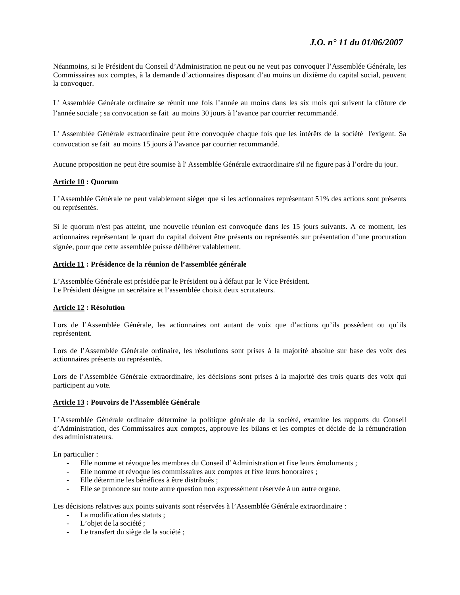Néanmoins, si le Président du Conseil d'Administration ne peut ou ne veut pas convoquer l'Assemblée Générale, les Commissaires aux comptes, à la demande d'actionnaires disposant d'au moins un dixième du capital social, peuvent la convoquer.

L' Assemblée Générale ordinaire se réunit une fois l'année au moins dans les six mois qui suivent la clôture de l'année sociale ; sa convocation se fait au moins 30 jours à l'avance par courrier recommandé.

L' Assemblée Générale extraordinaire peut être convoquée chaque fois que les intérêts de la société l'exigent. Sa convocation se fait au moins 15 jours à l'avance par courrier recommandé.

Aucune proposition ne peut être soumise à l' Assemblée Générale extraordinaire s'il ne figure pas à l'ordre du jour.

### **Article 10 : Quorum**

L'Assemblée Générale ne peut valablement siéger que si les actionnaires représentant 51% des actions sont présents ou représentés.

Si le quorum n'est pas atteint, une nouvelle réunion est convoquée dans les 15 jours suivants. A ce moment, les actionnaires représentant le quart du capital doivent être présents ou représentés sur présentation d'une procuration signée, pour que cette assemblée puisse délibérer valablement.

### **Article 11 : Présidence de la réunion de l'assemblée générale**

L'Assemblée Générale est présidée par le Président ou à défaut par le Vice Président. Le Président désigne un secrétaire et l'assemblée choisit deux scrutateurs.

### **Article 12 : Résolution**

Lors de l'Assemblée Générale, les actionnaires ont autant de voix que d'actions qu'ils possèdent ou qu'ils représentent.

Lors de l'Assemblée Générale ordinaire, les résolutions sont prises à la majorité absolue sur base des voix des actionnaires présents ou représentés.

Lors de l'Assemblée Générale extraordinaire, les décisions sont prises à la majorité des trois quarts des voix qui participent au vote.

### **Article 13 : Pouvoirs de l'Assemblée Générale**

L'Assemblée Générale ordinaire détermine la politique générale de la société, examine les rapports du Conseil d'Administration, des Commissaires aux comptes, approuve les bilans et les comptes et décide de la rémunération des administrateurs.

En particulier :

- Elle nomme et révoque les membres du Conseil d'Administration et fixe leurs émoluments ;
- Elle nomme et révoque les commissaires aux comptes et fixe leurs honoraires ;
- Elle détermine les bénéfices à être distribués ;
- Elle se prononce sur toute autre question non expressément réservée à un autre organe.

Les décisions relatives aux points suivants sont réservées à l'Assemblée Générale extraordinaire :

- La modification des statuts ;
- L'objet de la société ;
- Le transfert du siège de la société ;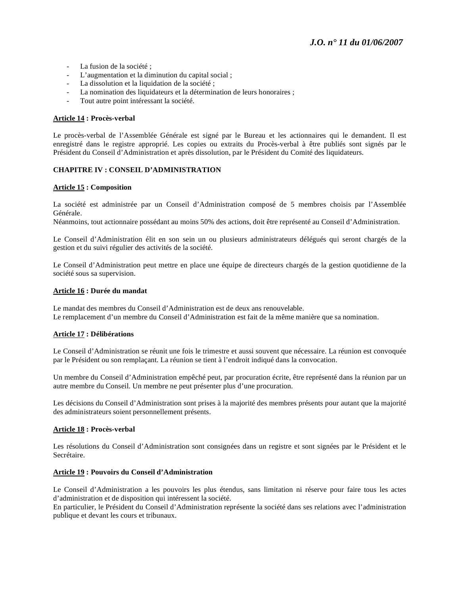- La fusion de la société ;
- L'augmentation et la diminution du capital social ;
- La dissolution et la liquidation de la société ;
- La nomination des liquidateurs et la détermination de leurs honoraires ;
- Tout autre point intéressant la société.

### **Article 14 : Procès-verbal**

Le procès-verbal de l'Assemblée Générale est signé par le Bureau et les actionnaires qui le demandent. Il est enregistré dans le registre approprié. Les copies ou extraits du Procès-verbal à être publiés sont signés par le Président du Conseil d'Administration et après dissolution, par le Président du Comité des liquidateurs.

### **CHAPITRE IV : CONSEIL D'ADMINISTRATION**

#### **Article 15 : Composition**

La société est administrée par un Conseil d'Administration composé de 5 membres choisis par l'Assemblée Générale.

Néanmoins, tout actionnaire possédant au moins 50% des actions, doit être représenté au Conseil d'Administration.

Le Conseil d'Administration élit en son sein un ou plusieurs administrateurs délégués qui seront chargés de la gestion et du suivi régulier des activités de la société.

Le Conseil d'Administration peut mettre en place une équipe de directeurs chargés de la gestion quotidienne de la société sous sa supervision.

#### **Article 16 : Durée du mandat**

Le mandat des membres du Conseil d'Administration est de deux ans renouvelable. Le remplacement d'un membre du Conseil d'Administration est fait de la même manière que sa nomination.

#### **Article 17 : Délibérations**

Le Conseil d'Administration se réunit une fois le trimestre et aussi souvent que nécessaire. La réunion est convoquée par le Président ou son remplaçant. La réunion se tient à l'endroit indiqué dans la convocation.

Un membre du Conseil d'Administration empêché peut, par procuration écrite, être représenté dans la réunion par un autre membre du Conseil. Un membre ne peut présenter plus d'une procuration.

Les décisions du Conseil d'Administration sont prises à la majorité des membres présents pour autant que la majorité des administrateurs soient personnellement présents.

#### **Article 18 : Procès-verbal**

Les résolutions du Conseil d'Administration sont consignées dans un registre et sont signées par le Président et le Secrétaire.

#### **Article 19 : Pouvoirs du Conseil d'Administration**

Le Conseil d'Administration a les pouvoirs les plus étendus, sans limitation ni réserve pour faire tous les actes d'administration et de disposition qui intéressent la société.

En particulier, le Président du Conseil d'Administration représente la société dans ses relations avec l'administration publique et devant les cours et tribunaux.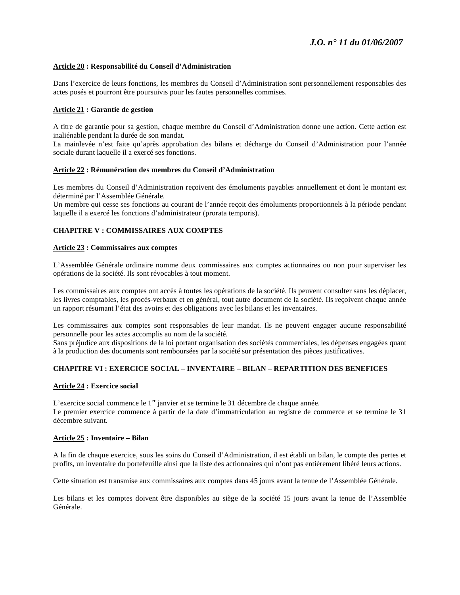### **Article 20 : Responsabilité du Conseil d'Administration**

Dans l'exercice de leurs fonctions, les membres du Conseil d'Administration sont personnellement responsables des actes posés et pourront être poursuivis pour les fautes personnelles commises.

### **Article 21 : Garantie de gestion**

A titre de garantie pour sa gestion, chaque membre du Conseil d'Administration donne une action. Cette action est inaliénable pendant la durée de son mandat.

La mainlevée n'est faite qu'après approbation des bilans et décharge du Conseil d'Administration pour l'année sociale durant laquelle il a exercé ses fonctions.

#### **Article 22 : Rémunération des membres du Conseil d'Administration**

Les membres du Conseil d'Administration reçoivent des émoluments payables annuellement et dont le montant est déterminé par l'Assemblée Générale.

Un membre qui cesse ses fonctions au courant de l'année reçoit des émoluments proportionnels à la période pendant laquelle il a exercé les fonctions d'administrateur (prorata temporis).

### **CHAPITRE V : COMMISSAIRES AUX COMPTES**

#### **Article 23 : Commissaires aux comptes**

L'Assemblée Générale ordinaire nomme deux commissaires aux comptes actionnaires ou non pour superviser les opérations de la société. Ils sont révocables à tout moment.

Les commissaires aux comptes ont accès à toutes les opérations de la société. Ils peuvent consulter sans les déplacer, les livres comptables, les procès-verbaux et en général, tout autre document de la société. Ils reçoivent chaque année un rapport résumant l'état des avoirs et des obligations avec les bilans et les inventaires.

Les commissaires aux comptes sont responsables de leur mandat. Ils ne peuvent engager aucune responsabilité personnelle pour les actes accomplis au nom de la société.

Sans préjudice aux dispositions de la loi portant organisation des sociétés commerciales, les dépenses engagées quant à la production des documents sont remboursées par la société sur présentation des pièces justificatives.

### **CHAPITRE VI : EXERCICE SOCIAL – INVENTAIRE – BILAN – REPARTITION DES BENEFICES**

#### **Article 24 : Exercice social**

L'exercice social commence le 1<sup>er</sup> janvier et se termine le 31 décembre de chaque année. Le premier exercice commence à partir de la date d'immatriculation au registre de commerce et se termine le 31 décembre suivant.

### **Article 25 : Inventaire – Bilan**

A la fin de chaque exercice, sous les soins du Conseil d'Administration, il est établi un bilan, le compte des pertes et profits, un inventaire du portefeuille ainsi que la liste des actionnaires qui n'ont pas entièrement libéré leurs actions.

Cette situation est transmise aux commissaires aux comptes dans 45 jours avant la tenue de l'Assemblée Générale.

Les bilans et les comptes doivent être disponibles au siège de la société 15 jours avant la tenue de l'Assemblée Générale.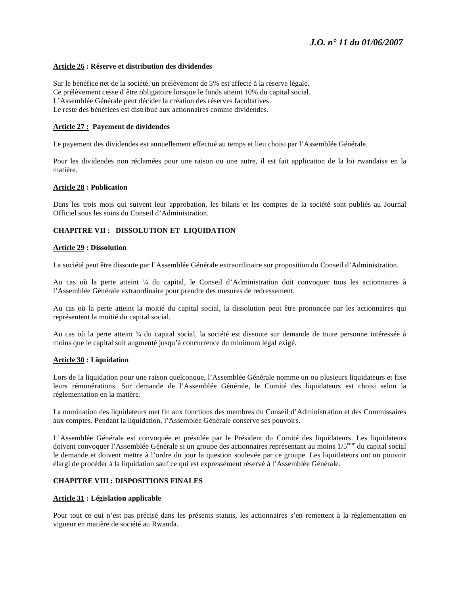### **Article 26 : Réserve et distribution des dividendes**

Sur le bénéfice net de la société, un prélèvement de 5% est affecté à la réserve légale. Ce prélèvement cesse d'être obligatoire lorsque le fonds atteint 10% du capital social. L'Assemblée Générale peut décider la création des réserves facultatives. Le reste des bénéfices est distribué aux actionnaires comme dividendes.

### **Article 27 : Payement de dividendes**

Le payement des dividendes est annuellement effectué au temps et lieu choisi par l'Assemblée Générale.

Pour les dividendes non réclamées pour une raison ou une autre, il est fait application de la loi rwandaise en la matière.

### **Article 28 : Publication**

Dans les trois mois qui suivent leur approbation, les bilans et les comptes de la société sont publiés au Journal Officiel sous les soins du Conseil d'Administration.

### **CHAPITRE VII : DISSOLUTION ET LIQUIDATION**

#### **Article 29 : Dissolution**

La société peut être dissoute par l'Assemblée Générale extraordinaire sur proposition du Conseil d'Administration.

Au cas où la perte atteint  $\frac{1}{4}$  du capital, le Conseil d'Administration doit convoquer tous les actionnaires à l'Assemblée Générale extraordinaire pour prendre des mesures de redressement.

Au cas où la perte atteint la moitié du capital social, la dissolution peut être prononcée par les actionnaires qui représentent la moitié du capital social.

Au cas où la perte atteint  $\frac{3}{4}$  du capital social, la société est dissoute sur demande de toute personne intéressée à moins que le capital soit augmenté jusqu'à concurrence du minimum légal exigé.

### **Article 30 : Liquidation**

Lors de la liquidation pour une raison quelconque, l'Assemblée Générale nomme un ou plusieurs liquidateurs et fixe leurs rémunérations. Sur demande de l'Assemblée Générale, le Comité des liquidateurs est choisi selon la réglementation en la matière.

La nomination des liquidateurs met fin aux fonctions des membres du Conseil d'Administration et des Commissaires aux comptes. Pendant la liquidation, l'Assemblée Générale conserve ses pouvoirs.

L'Assemblée Générale est convoquée et présidée par le Président du Comité des liquidateurs. Les liquidateurs doivent convoquer l'Assemblée Générale si un groupe des actionnaires représentant au moins 1/5<sup>ème</sup> du capital social le demande et doivent mettre à l'ordre du jour la question soulevée par ce groupe. Les liquidateurs ont un pouvoir élargi de procéder à la liquidation sauf ce qui est expressément réservé à l'Assemblée Générale.

### **CHAPITRE VIII : DISPOSITIONS FINALES**

#### **Article 31 : Législation applicable**

Pour tout ce qui n'est pas précisé dans les présents statuts, les actionnaires s'en remettent à la réglementation en vigueur en matière de société au Rwanda.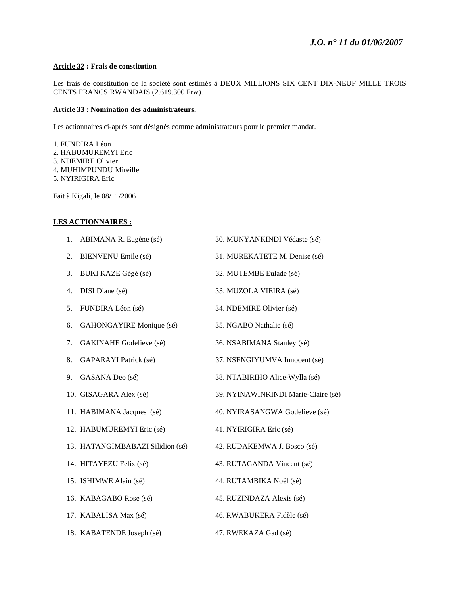## **Article 32 : Frais de constitution**

Les frais de constitution de la société sont estimés à DEUX MILLIONS SIX CENT DIX-NEUF MILLE TROIS CENTS FRANCS RWANDAIS (2.619.300 Frw).

### **Article 33 : Nomination des administrateurs.**

Les actionnaires ci-après sont désignés comme administrateurs pour le premier mandat.

1. FUNDIRA Léon 2. HABUMUREMYI Eric 3. NDEMIRE Olivier 4. MUHIMPUNDU Mireille 5. NYIRIGIRA Eric

Fait à Kigali, le 08/11/2006

### **LES ACTIONNAIRES :**

| 1. | ABIMANA R. Eugène (sé)           | 30. MUNYANKINDI Védaste (sé)        |  |
|----|----------------------------------|-------------------------------------|--|
| 2. | BIENVENU Emile (sé)              | 31. MUREKATETE M. Denise (sé)       |  |
| 3. | BUKI KAZE Gégé (sé)              | 32. MUTEMBE Eulade (sé)             |  |
| 4. | DISI Diane (sé)                  | 33. MUZOLA VIEIRA (sé)              |  |
| 5. | FUNDIRA Léon (sé)                | 34. NDEMIRE Olivier (sé)            |  |
| 6. | GAHONGAYIRE Monique (sé)         | 35. NGABO Nathalie (sé)             |  |
| 7. | GAKINAHE Godelieve (sé)          | 36. NSABIMANA Stanley (sé)          |  |
| 8. | GAPARAYI Patrick (sé)            | 37. NSENGIYUMVA Innocent (sé)       |  |
| 9. | GASANA Deo (sé)                  | 38. NTABIRIHO Alice-Wylla (sé)      |  |
|    | 10. GISAGARA Alex (sé)           | 39. NYINAWINKINDI Marie-Claire (sé) |  |
|    | 11. HABIMANA Jacques (sé)        | 40. NYIRASANGWA Godelieve (sé)      |  |
|    | 12. HABUMUREMYI Eric (sé)        | 41. NYIRIGIRA Eric (sé)             |  |
|    | 13. HATANGIMBABAZI Silidion (sé) | 42. RUDAKEMWA J. Bosco (sé)         |  |
|    | 14. HITAYEZU Félix (sé)          | 43. RUTAGANDA Vincent (sé)          |  |
|    | 15. ISHIMWE Alain (sé)           | 44. RUTAMBIKA Noël (sé)             |  |
|    | 16. KABAGABO Rose (sé)           | 45. RUZINDAZA Alexis (sé)           |  |
|    | 17. KABALISA Max (sé)            | 46. RWABUKERA Fidèle (sé)           |  |
|    | 18. KABATENDE Joseph (sé)        | 47. RWEKAZA Gad (sé)                |  |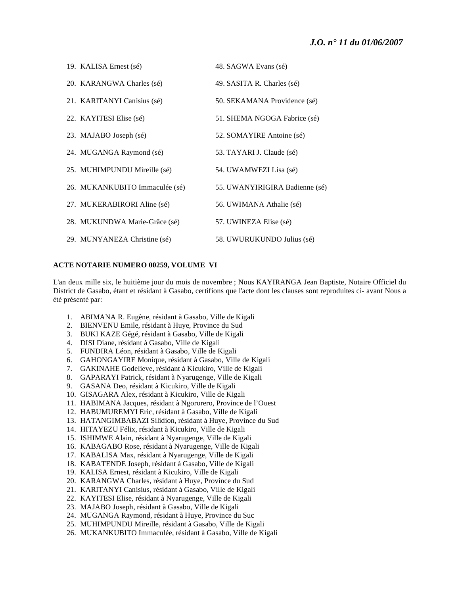# *J.O. n° 11 du 01/06/2007*

| 19. KALISA Ernest (sé)         | 48. SAGWA Evans (sé)           |  |
|--------------------------------|--------------------------------|--|
| 20. KARANGWA Charles (sé)      | 49. SASITA R. Charles (sé)     |  |
| 21. KARITANYI Canisius (sé)    | 50. SEKAMANA Providence (sé)   |  |
| 22. KAYITESI Elise (sé)        | 51. SHEMA NGOGA Fabrice (sé)   |  |
| 23. MAJABO Joseph (sé)         | 52. SOMAYIRE Antoine (sé)      |  |
| 24. MUGANGA Raymond (sé)       | 53. TAYARI J. Claude (sé)      |  |
| 25. MUHIMPUNDU Mireille (sé)   | 54. UWAMWEZI Lisa (sé)         |  |
| 26. MUKANKUBITO Immaculée (sé) | 55. UWANYIRIGIRA Badienne (sé) |  |
| 27. MUKERABIRORI Aline (sé)    | 56. UWIMANA Athalie (sé)       |  |
| 28. MUKUNDWA Marie-Grâce (sé)  | 57. UWINEZA Elise (sé)         |  |
| 29. MUNYANEZA Christine (sé)   | 58. UWURUKUNDO Julius (sé)     |  |

### **ACTE NOTARIE NUMERO 00259, VOLUME VI**

L'an deux mille six, le huitième jour du mois de novembre ; Nous KAYIRANGA Jean Baptiste, Notaire Officiel du District de Gasabo, étant et résidant à Gasabo, certifions que l'acte dont les clauses sont reproduites ci- avant Nous a été présenté par:

- 1. ABIMANA R. Eugène, résidant à Gasabo, Ville de Kigali
- 2. BIENVENU Emile, résidant à Huye, Province du Sud
- 3. BUKI KAZE Gégé, résidant à Gasabo, Ville de Kigali
- 4. DISI Diane, résidant à Gasabo, Ville de Kigali
- 5. FUNDIRA Léon, résidant à Gasabo, Ville de Kigali
- 6. GAHONGAYIRE Monique, résidant à Gasabo, Ville de Kigali
- 7. GAKINAHE Godelieve, résidant à Kicukiro, Ville de Kigali
- 8. GAPARAYI Patrick, résidant à Nyarugenge, Ville de Kigali
- 9. GASANA Deo, résidant à Kicukiro, Ville de Kigali
- 10. GISAGARA Alex, résidant à Kicukiro, Ville de Kigali
- 11. HABIMANA Jacques, résidant à Ngororero, Province de l'Ouest
- 12. HABUMUREMYI Eric, résidant à Gasabo, Ville de Kigali
- 13. HATANGIMBABAZI Silidion, résidant à Huye, Province du Sud
- 14. HITAYEZU Félix, résidant à Kicukiro, Ville de Kigali
- 15. ISHIMWE Alain, résidant à Nyarugenge, Ville de Kigali
- 16. KABAGABO Rose, résidant à Nyarugenge, Ville de Kigali
- 17. KABALISA Max, résidant à Nyarugenge, Ville de Kigali
- 18. KABATENDE Joseph, résidant à Gasabo, Ville de Kigali
- 19. KALISA Ernest, résidant à Kicukiro, Ville de Kigali
- 20. KARANGWA Charles, résidant à Huye, Province du Sud
- 21. KARITANYI Canisius, résidant à Gasabo, Ville de Kigali
- 22. KAYITESI Elise, résidant à Nyarugenge, Ville de Kigali
- 23. MAJABO Joseph, résidant à Gasabo, Ville de Kigali
- 24. MUGANGA Raymond, résidant à Huye, Province du Suc
- 25. MUHIMPUNDU Mireille, résidant à Gasabo, Ville de Kigali
- 26. MUKANKUBITO Immaculée, résidant à Gasabo, Ville de Kigali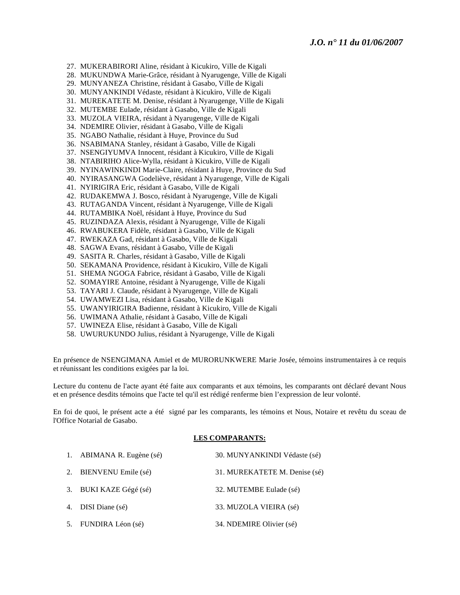27. MUKERABIRORI Aline, résidant à Kicukiro, Ville de Kigali

28. MUKUNDWA Marie-Grâce, résidant à Nyarugenge, Ville de Kigali

29. MUNYANEZA Christine, résidant à Gasabo, Ville de Kigali

30. MUNYANKINDI Védaste, résidant à Kicukiro, Ville de Kigali

31. MUREKATETE M. Denise, résidant à Nyarugenge, Ville de Kigali

32. MUTEMBE Eulade, résidant à Gasabo, Ville de Kigali

33. MUZOLA VIEIRA, résidant à Nyarugenge, Ville de Kigali

34. NDEMIRE Olivier, résidant à Gasabo, Ville de Kigali

35. NGABO Nathalie, résidant à Huye, Province du Sud

36. NSABIMANA Stanley, résidant à Gasabo, Ville de Kigali

37. NSENGIYUMVA Innocent, résidant à Kicukiro, Ville de Kigali

38. NTABIRIHO Alice-Wylla, résidant à Kicukiro, Ville de Kigali

39. NYINAWINKINDI Marie-Claire, résidant à Huye, Province du Sud

40. NYIRASANGWA Godeliève, résidant à Nyarugenge, Ville de Kigali

41. NYIRIGIRA Eric, résidant à Gasabo, Ville de Kigali

42. RUDAKEMWA J. Bosco, résidant à Nyarugenge, Ville de Kigali

43. RUTAGANDA Vincent, résidant à Nyarugenge, Ville de Kigali

44. RUTAMBIKA Noël, résidant à Huye, Province du Sud

45. RUZINDAZA Alexis, résidant à Nyarugenge, Ville de Kigali

46. RWABUKERA Fidèle, résidant à Gasabo, Ville de Kigali

47. RWEKAZA Gad, résidant à Gasabo, Ville de Kigali

48. SAGWA Evans, résidant à Gasabo, Ville de Kigali

49. SASITA R. Charles, résidant à Gasabo, Ville de Kigali

50. SEKAMANA Providence, résidant à Kicukiro, Ville de Kigali

51. SHEMA NGOGA Fabrice, résidant à Gasabo, Ville de Kigali

52. SOMAYIRE Antoine, résidant à Nyarugenge, Ville de Kigali

53. TAYARI J. Claude, résidant à Nyarugenge, Ville de Kigali

54. UWAMWEZI Lisa, résidant à Gasabo, Ville de Kigali

55. UWANYIRIGIRA Badienne, résidant à Kicukiro, Ville de Kigali

56. UWIMANA Athalie, résidant à Gasabo, Ville de Kigali

57. UWINEZA Elise, résidant à Gasabo, Ville de Kigali

58. UWURUKUNDO Julius, résidant à Nyarugenge, Ville de Kigali

En présence de NSENGIMANA Amiel et de MURORUNKWERE Marie Josée, témoins instrumentaires à ce requis et réunissant les conditions exigées par la loi.

Lecture du contenu de l'acte ayant été faite aux comparants et aux témoins, les comparants ont déclaré devant Nous et en présence desdits témoins que l'acte tel qu'il est rédigé renferme bien l'expression de leur volonté.

En foi de quoi, le présent acte a été signé par les comparants, les témoins et Nous, Notaire et revêtu du sceau de l'Office Notarial de Gasabo.

#### **LES COMPARANTS:**

| 1. ABIMANA R. Eugène (sé) | 30. MUNYANKINDI Védaste (sé)  |  |
|---------------------------|-------------------------------|--|
| 2. BIENVENU Emile (sé)    | 31. MUREKATETE M. Denise (sé) |  |
| 3. BUKI KAZE Gégé (sé)    | 32. MUTEMBE Eulade (sé)       |  |
| 4. DISI Diane (sé)        | 33. MUZOLA VIEIRA (sé)        |  |
| 5. FUNDIRA Léon (sé)      | 34. NDEMIRE Olivier (sé)      |  |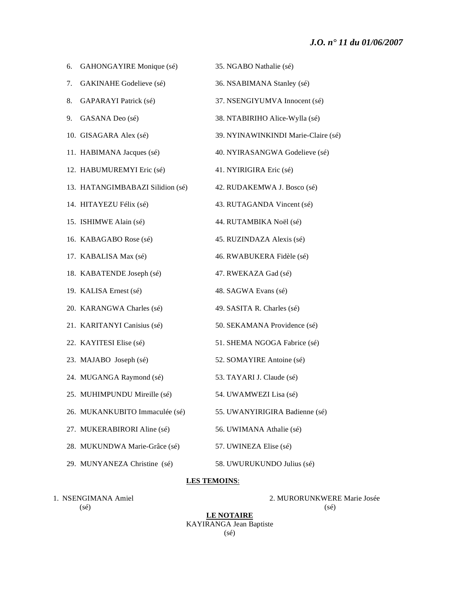# *J.O. n° 11 du 01/06/2007*

| 6. | GAHONGAYIRE Monique (sé)         | 35. NGABO Nathalie (sé)             |
|----|----------------------------------|-------------------------------------|
| 7. | GAKINAHE Godelieve (sé)          | 36. NSABIMANA Stanley (sé)          |
| 8. | GAPARAYI Patrick (sé)            | 37. NSENGIYUMVA Innocent (sé)       |
| 9. | GASANA Deo (sé)                  | 38. NTABIRIHO Alice-Wylla (sé)      |
|    | 10. GISAGARA Alex (sé)           | 39. NYINAWINKINDI Marie-Claire (sé) |
|    | 11. HABIMANA Jacques (sé)        | 40. NYIRASANGWA Godelieve (sé)      |
|    | 12. HABUMUREMYI Eric (sé)        | 41. NYIRIGIRA Eric (sé)             |
|    | 13. HATANGIMBABAZI Silidion (sé) | 42. RUDAKEMWA J. Bosco (sé)         |
|    | 14. HITAYEZU Félix (sé)          | 43. RUTAGANDA Vincent (sé)          |
|    | 15. ISHIMWE Alain (sé)           | 44. RUTAMBIKA Noël (sé)             |
|    | 16. KABAGABO Rose (sé)           | 45. RUZINDAZA Alexis (sé)           |
|    | 17. KABALISA Max (sé)            | 46. RWABUKERA Fidèle (sé)           |
|    | 18. KABATENDE Joseph (sé)        | 47. RWEKAZA Gad (sé)                |
|    | 19. KALISA Ernest (sé)           | 48. SAGWA Evans (sé)                |
|    | 20. KARANGWA Charles (sé)        | 49. SASITA R. Charles (sé)          |
|    | 21. KARITANYI Canisius (sé)      | 50. SEKAMANA Providence (sé)        |
|    | 22. KAYITESI Elise (sé)          | 51. SHEMA NGOGA Fabrice (sé)        |
|    | 23. MAJABO Joseph (sé)           | 52. SOMAYIRE Antoine (sé)           |
|    | 24. MUGANGA Raymond (sé)         | 53. TAYARI J. Claude (sé)           |
|    | 25. MUHIMPUNDU Mireille (sé)     | 54. UWAMWEZI Lisa (sé)              |
|    | 26. MUKANKUBITO Immaculée (sé)   | 55. UWANYIRIGIRA Badienne (sé)      |
|    | 27. MUKERABIRORI Aline (sé)      | 56. UWIMANA Athalie (sé)            |
|    | 28. MUKUNDWA Marie-Grâce (sé)    | 57. UWINEZA Elise (sé)              |
|    | 29. MUNYANEZA Christine (sé)     | 58. UWURUKUNDO Julius (sé)          |

### **LES TEMOINS**:

1. NSENGIMANA Amiel 2. MURORUNKWERE Marie Josée  $(s\acute{e})$  (sé)

**LE NOTAIRE** KAYIRANGA Jean Baptiste (sé)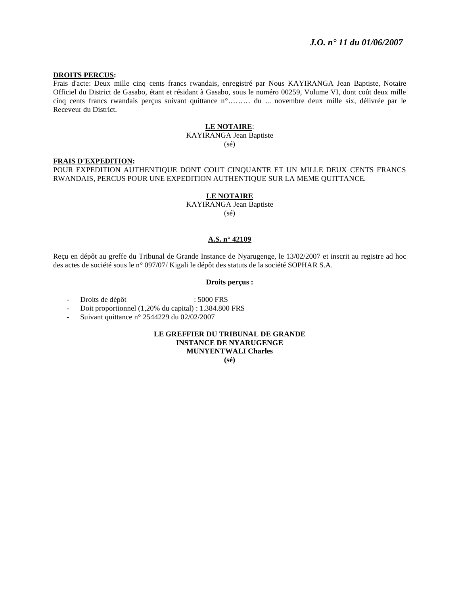### **DROITS PERCUS:**

Frais d'acte: Deux mille cinq cents francs rwandais, enregistré par Nous KAYIRANGA Jean Baptiste, Notaire Officiel du District de Gasabo, étant et résidant à Gasabo, sous le numéro 00259, Volume VI, dont coût deux mille cinq cents francs rwandais perçus suivant quittance n°……… du ... novembre deux mille six, délivrée par le Receveur du District.

#### **LE NOTAIRE**:

KAYIRANGA Jean Baptiste (sé)

#### **FRAIS D'EXPEDITION:**

POUR EXPEDITION AUTHENTIQUE DONT COUT CINQUANTE ET UN MILLE DEUX CENTS FRANCS RWANDAIS, PERCUS POUR UNE EXPEDITION AUTHENTIQUE SUR LA MEME QUITTANCE.

#### **LE NOTAIRE**

KAYIRANGA Jean Baptiste  $(s\acute{e})$ 

#### **A.S. n° 42109**

Reçu en dépôt au greffe du Tribunal de Grande Instance de Nyarugenge, le 13/02/2007 et inscrit au registre ad hoc des actes de société sous le n° 097/07/ Kigali le dépôt des statuts de la société SOPHAR S.A.

### **Droits perçus :**

- Droits de dépôt : 5000 FRS

- Doit proportionnel (1,20% du capital) : 1.384.800 FRS
- Suivant quittance n° 2544229 du 02/02/2007

**LE GREFFIER DU TRIBUNAL DE GRANDE INSTANCE DE NYARUGENGE MUNYENTWALI Charles** 

**(sé)**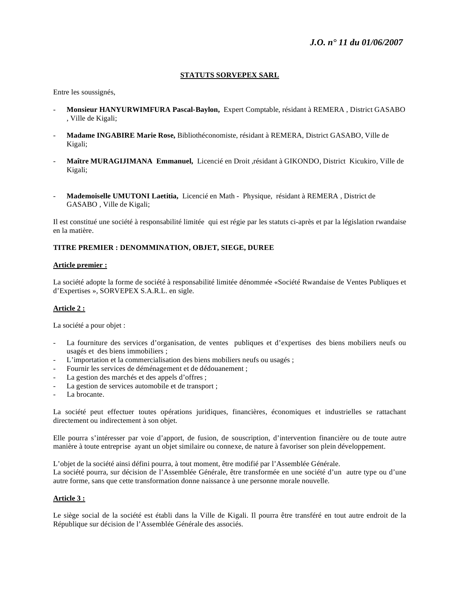### **STATUTS SORVEPEX SARL**

Entre les soussignés,

- **Monsieur HANYURWIMFURA Pascal-Baylon,** Expert Comptable, résidant à REMERA , District GASABO , Ville de Kigali;
- **Madame INGABIRE Marie Rose,** Bibliothéconomiste, résidant à REMERA, District GASABO, Ville de Kigali;
- **Maître MURAGIJIMANA Emmanuel,** Licencié en Droit ,résidant à GIKONDO, District Kicukiro, Ville de Kigali;
- **Mademoiselle UMUTONI Laetitia,** Licencié en Math Physique, résidant à REMERA , District de GASABO , Ville de Kigali;

Il est constitué une société à responsabilité limitée qui est régie par les statuts ci-après et par la législation rwandaise en la matière.

### **TITRE PREMIER : DENOMMINATION, OBJET, SIEGE, DUREE**

### **Article premier :**

La société adopte la forme de société à responsabilité limitée dénommée «Société Rwandaise de Ventes Publiques et d'Expertises », SORVEPEX S.A.R.L. en sigle.

### **Article 2 :**

La société a pour objet :

- La fourniture des services d'organisation, de ventes publiques et d'expertises des biens mobiliers neufs ou usagés et des biens immobiliers ;
- L'importation et la commercialisation des biens mobiliers neufs ou usagés ;
- Fournir les services de déménagement et de dédouanement ;
- La gestion des marchés et des appels d'offres ;
- La gestion de services automobile et de transport ;
- La brocante.

La société peut effectuer toutes opérations juridiques, financières, économiques et industrielles se rattachant directement ou indirectement à son objet.

Elle pourra s'intéresser par voie d'apport, de fusion, de souscription, d'intervention financière ou de toute autre manière à toute entreprise ayant un objet similaire ou connexe, de nature à favoriser son plein développement.

L'objet de la société ainsi défini pourra, à tout moment, être modifié par l'Assemblée Générale. La société pourra, sur décision de l'Assemblée Générale, être transformée en une société d'un autre type ou d'une autre forme, sans que cette transformation donne naissance à une personne morale nouvelle.

### **Article 3 :**

Le siège social de la société est établi dans la Ville de Kigali. Il pourra être transféré en tout autre endroit de la République sur décision de l'Assemblée Générale des associés.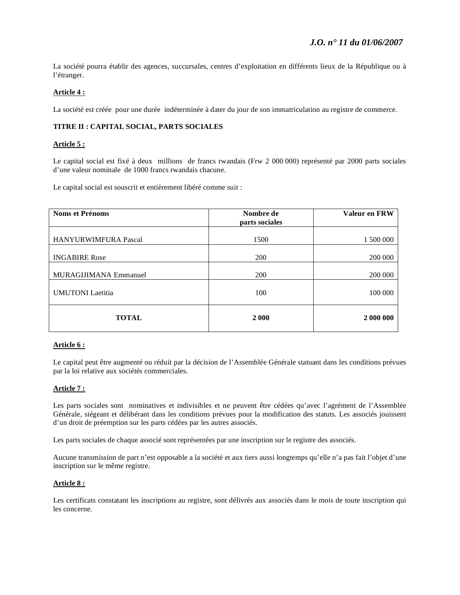La société pourra établir des agences, succursales, centres d'exploitation en différents lieux de la République ou à l'étranger.

### **Article 4 :**

La société est créée pour une durée indéterminée à dater du jour de son immatriculation au registre de commerce.

### **TITRE II : CAPITAL SOCIAL, PARTS SOCIALES**

### **Article 5 :**

Le capital social est fixé à deux millions de francs rwandais (Frw 2 000 000) représenté par 2000 parts sociales d'une valeur nominale de 1000 francs rwandais chacune.

Le capital social est souscrit et entièrement libéré comme suit :

| Noms et Prénoms              | Nombre de<br>parts sociales | Valeur en FRW |
|------------------------------|-----------------------------|---------------|
|                              |                             |               |
| <b>HANYURWIMFURA Pascal</b>  | 1500                        | 1 500 000     |
|                              |                             |               |
| <b>INGABIRE Rose</b>         | 200                         | 200 000       |
|                              |                             |               |
| <b>MURAGIJIMANA Emmanuel</b> | 200                         | 200 000       |
|                              |                             |               |
| <b>UMUTONI</b> Laetitia      | 100                         | 100 000       |
|                              |                             |               |
| <b>TOTAL</b>                 | 2 0 0 0                     | 2 000 000     |

### **Article 6 :**

Le capital peut être augmenté ou réduit par la décision de l'Assemblée Générale statuant dans les conditions prévues par la loi relative aux sociétés commerciales.

### **Article 7 :**

Les parts sociales sont nominatives et indivisibles et ne peuvent être cédées qu'avec l'agrément de l'Assemblée Générale, siégeant et délibérant dans les conditions prévues pour la modification des statuts. Les associés jouissent d'un droit de préemption sur les parts cédées par les autres associés.

Les parts sociales de chaque associé sont représentées par une inscription sur le registre des associés.

Aucune transmission de part n'est opposable a la société et aux tiers aussi longtemps qu'elle n'a pas fait l'objet d'une inscription sur le même registre.

## **Article 8 :**

Les certificats constatant les inscriptions au registre, sont délivrés aux associés dans le mois de toute inscription qui les concerne.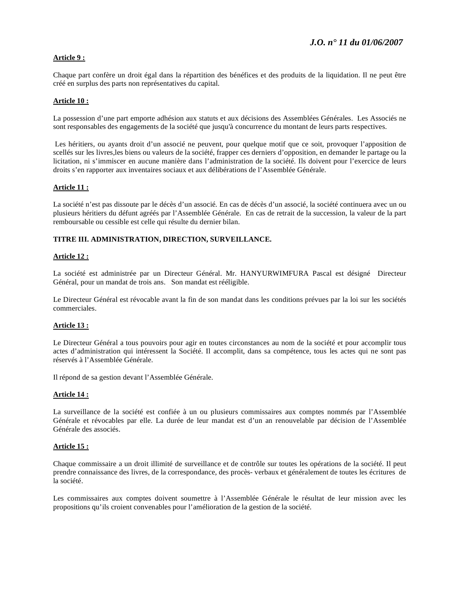### **Article 9 :**

Chaque part confère un droit égal dans la répartition des bénéfices et des produits de la liquidation. Il ne peut être créé en surplus des parts non représentatives du capital.

### **Article 10 :**

La possession d'une part emporte adhésion aux statuts et aux décisions des Assemblées Générales. Les Associés ne sont responsables des engagements de la société que jusqu'à concurrence du montant de leurs parts respectives.

 Les héritiers, ou ayants droit d'un associé ne peuvent, pour quelque motif que ce soit, provoquer l'apposition de scellés sur les livres,les biens ou valeurs de la société, frapper ces derniers d'opposition, en demander le partage ou la licitation, ni s'immiscer en aucune manière dans l'administration de la société. Ils doivent pour l'exercice de leurs droits s'en rapporter aux inventaires sociaux et aux délibérations de l'Assemblée Générale.

### **Article 11 :**

La société n'est pas dissoute par le décès d'un associé. En cas de décès d'un associé, la société continuera avec un ou plusieurs héritiers du défunt agréés par l'Assemblée Générale. En cas de retrait de la succession, la valeur de la part remboursable ou cessible est celle qui résulte du dernier bilan.

### **TITRE III. ADMINISTRATION, DIRECTION, SURVEILLANCE.**

#### **Article 12 :**

La société est administrée par un Directeur Général. Mr. HANYURWIMFURA Pascal est désigné Directeur Général, pour un mandat de trois ans. Son mandat est rééligible.

Le Directeur Général est révocable avant la fin de son mandat dans les conditions prévues par la loi sur les sociétés commerciales.

#### **Article 13 :**

Le Directeur Général a tous pouvoirs pour agir en toutes circonstances au nom de la société et pour accomplir tous actes d'administration qui intéressent la Société. Il accomplit, dans sa compétence, tous les actes qui ne sont pas réservés à l'Assemblée Générale.

Il répond de sa gestion devant l'Assemblée Générale.

#### **Article 14 :**

La surveillance de la société est confiée à un ou plusieurs commissaires aux comptes nommés par l'Assemblée Générale et révocables par elle. La durée de leur mandat est d'un an renouvelable par décision de l'Assemblée Générale des associés.

#### **Article 15 :**

Chaque commissaire a un droit illimité de surveillance et de contrôle sur toutes les opérations de la société. Il peut prendre connaissance des livres, de la correspondance, des procès- verbaux et généralement de toutes les écritures de la société.

Les commissaires aux comptes doivent soumettre à l'Assemblée Générale le résultat de leur mission avec les propositions qu'ils croient convenables pour l'amélioration de la gestion de la société.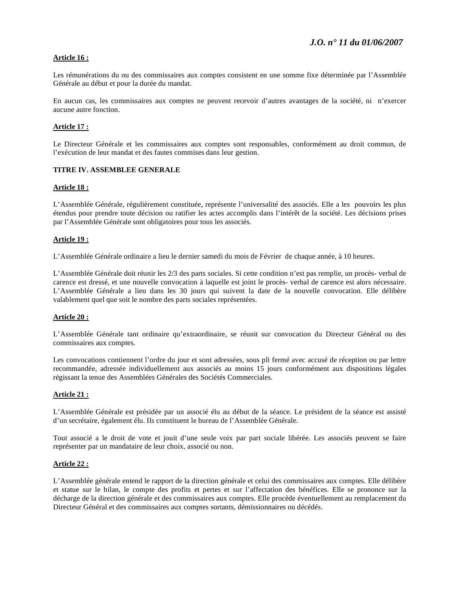### **Article 16 :**

Les rémunérations du ou des commissaires aux comptes consistent en une somme fixe déterminée par l'Assemblée Générale au début et pour la durée du mandat.

En aucun cas, les commissaires aux comptes ne peuvent recevoir d'autres avantages de la société, ni n'exercer aucune autre fonction.

### **Article 17 :**

Le Directeur Générale et les commissaires aux comptes sont responsables, conformément au droit commun, de l'exécution de leur mandat et des fautes commises dans leur gestion.

### **TITRE IV. ASSEMBLEE GENERALE**

#### **Article 18 :**

L'Assemblée Générale, régulièrement constituée, représente l'universalité des associés. Elle a les pouvoirs les plus étendus pour prendre toute décision ou ratifier les actes accomplis dans l'intérêt de la société. Les décisions prises par l'Assemblée Générale sont obligatoires pour tous les associés.

### **Article 19 :**

L'Assemblée Générale ordinaire a lieu le dernier samedi du mois de Février de chaque année, à 10 heures.

L'Assemblée Générale doit réunir les 2/3 des parts sociales. Si cette condition n'est pas remplie, un procès- verbal de carence est dressé, et une nouvelle convocation à laquelle est joint le procès- verbal de carence est alors nécessaire. L'Assemblée Générale a lieu dans les 30 jours qui suivent la date de la nouvelle convocation. Elle délibère valablement quel que soit le nombre des parts sociales représentées.

#### **Article 20 :**

L'Assemblée Générale tant ordinaire qu'extraordinaire, se réunit sur convocation du Directeur Général ou des commissaires aux comptes.

Les convocations contiennent l'ordre du jour et sont adressées, sous pli fermé avec accusé de réception ou par lettre recommandée, adressée individuellement aux associés au moins 15 jours conformément aux dispositions légales régissant la tenue des Assemblées Générales des Sociétés Commerciales.

#### **Article 21 :**

L'Assemblée Générale est présidée par un associé élu au début de la séance. Le président de la séance est assisté d'un secrétaire, également élu. Ils constituent le bureau de l'Assemblée Générale.

Tout associé a le droit de vote et jouit d'une seule voix par part sociale libérée. Les associés peuvent se faire représenter par un mandataire de leur choix, associé ou non.

#### **Article 22 :**

L'Assemblée générale entend le rapport de la direction générale et celui des commissaires aux comptes. Elle délibère et statue sur le bilan, le compte des profits et pertes et sur l'affectation des bénéfices. Elle se prononce sur la décharge de la direction générale et des commissaires aux comptes. Elle procède éventuellement au remplacement du Directeur Général et des commissaires aux comptes sortants, démissionnaires ou décédés.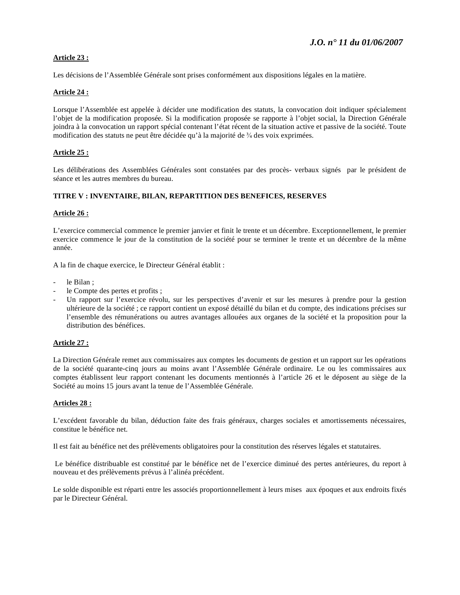## **Article 23 :**

Les décisions de l'Assemblée Générale sont prises conformément aux dispositions légales en la matière.

### **Article 24 :**

Lorsque l'Assemblée est appelée à décider une modification des statuts, la convocation doit indiquer spécialement l'objet de la modification proposée. Si la modification proposée se rapporte à l'objet social, la Direction Générale joindra à la convocation un rapport spécial contenant l'état récent de la situation active et passive de la société. Toute modification des statuts ne peut être décidée qu'à la majorité de  $\frac{3}{4}$  des voix exprimées.

### **Article 25 :**

Les délibérations des Assemblées Générales sont constatées par des procès- verbaux signés par le président de séance et les autres membres du bureau.

### **TITRE V : INVENTAIRE, BILAN, REPARTITION DES BENEFICES, RESERVES**

### **Article 26 :**

L'exercice commercial commence le premier janvier et finit le trente et un décembre. Exceptionnellement, le premier exercice commence le jour de la constitution de la société pour se terminer le trente et un décembre de la même année.

A la fin de chaque exercice, le Directeur Général établit :

- le Bilan ;
- le Compte des pertes et profits ;
- Un rapport sur l'exercice révolu, sur les perspectives d'avenir et sur les mesures à prendre pour la gestion ultérieure de la société ; ce rapport contient un exposé détaillé du bilan et du compte, des indications précises sur l'ensemble des rémunérations ou autres avantages allouées aux organes de la société et la proposition pour la distribution des bénéfices.

### **Article 27 :**

La Direction Générale remet aux commissaires aux comptes les documents de gestion et un rapport sur les opérations de la société quarante-cinq jours au moins avant l'Assemblée Générale ordinaire. Le ou les commissaires aux comptes établissent leur rapport contenant les documents mentionnés à l'article 26 et le déposent au siège de la Société au moins 15 jours avant la tenue de l'Assemblée Générale.

### **Articles 28 :**

L'excédent favorable du bilan, déduction faite des frais généraux, charges sociales et amortissements nécessaires, constitue le bénéfice net.

Il est fait au bénéfice net des prélèvements obligatoires pour la constitution des réserves légales et statutaires.

 Le bénéfice distribuable est constitué par le bénéfice net de l'exercice diminué des pertes antérieures, du report à nouveau et des prélèvements prévus à l'alinéa précédent.

Le solde disponible est réparti entre les associés proportionnellement à leurs mises aux époques et aux endroits fixés par le Directeur Général.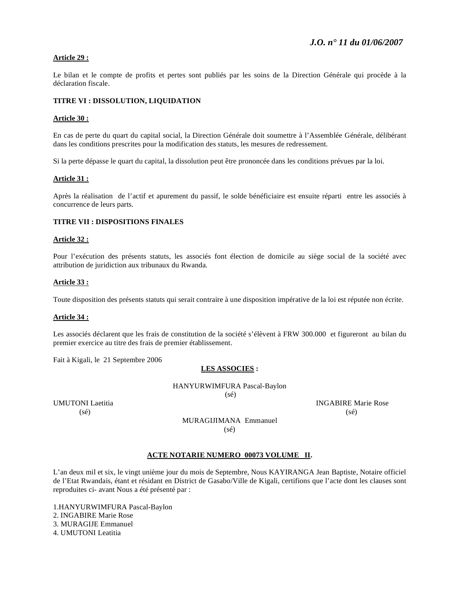### **Article 29 :**

Le bilan et le compte de profits et pertes sont publiés par les soins de la Direction Générale qui procède à la déclaration fiscale.

### **TITRE VI : DISSOLUTION, LIQUIDATION**

#### **Article 30 :**

En cas de perte du quart du capital social, la Direction Générale doit soumettre à l'Assemblée Générale, délibérant dans les conditions prescrites pour la modification des statuts, les mesures de redressement.

Si la perte dépasse le quart du capital, la dissolution peut être prononcée dans les conditions prévues par la loi.

#### **Article 31 :**

Après la réalisation de l'actif et apurement du passif, le solde bénéficiaire est ensuite réparti entre les associés à concurrence de leurs parts.

#### **TITRE VII : DISPOSITIONS FINALES**

#### **Article 32 :**

Pour l'exécution des présents statuts, les associés font élection de domicile au siège social de la société avec attribution de juridiction aux tribunaux du Rwanda.

#### **Article 33 :**

Toute disposition des présents statuts qui serait contraire à une disposition impérative de la loi est réputée non écrite.

#### **Article 34 :**

Les associés déclarent que les frais de constitution de la société s'élèvent à FRW 300.000 et figureront au bilan du premier exercice au titre des frais de premier établissement.

Fait à Kigali, le 21 Septembre 2006

#### **LES ASSOCIES :**

HANYURWIMFURA Pascal-Baylon  $(s\acute{e})$ 

UMUTONI Laetitia INGABIRE Marie Rose  $(s\acute{e})$  (se)  $(s\acute{e})$ 

MURAGIJIMANA Emmanuel  $(s\acute{e})$ 

#### **ACTE NOTARIE NUMERO 00073 VOLUME II.**

L'an deux mil et six, le vingt unième jour du mois de Septembre, Nous KAYIRANGA Jean Baptiste, Notaire officiel de l'Etat Rwandais, étant et résidant en District de Gasabo/Ville de Kigali, certifions que l'acte dont les clauses sont reproduites ci- avant Nous a été présenté par :

1.HANYURWIMFURA Pascal-Baylon 2. INGABIRE Marie Rose 3. MURAGIJE Emmanuel 4. UMUTONI Leatitia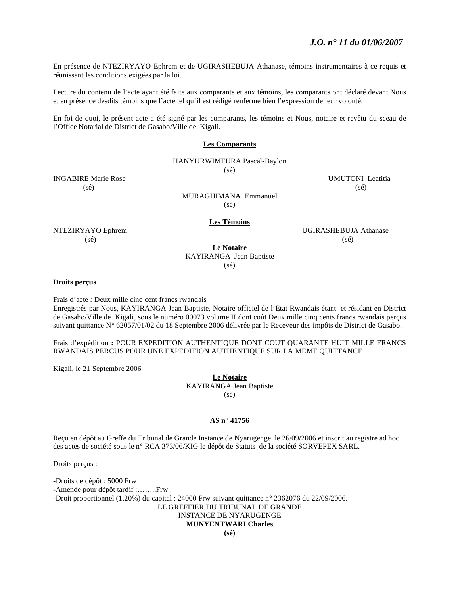En présence de NTEZIRYAYO Ephrem et de UGIRASHEBUJA Athanase, témoins instrumentaires à ce requis et réunissant les conditions exigées par la loi.

Lecture du contenu de l'acte ayant été faite aux comparants et aux témoins, les comparants ont déclaré devant Nous et en présence desdits témoins que l'acte tel qu'il est rédigé renferme bien l'expression de leur volonté.

En foi de quoi, le présent acte a été signé par les comparants, les témoins et Nous, notaire et revêtu du sceau de l'Office Notarial de District de Gasabo/Ville de Kigali.

#### **Les Comparants**

### HANYURWIMFURA Pascal-Baylon

(sé)

INGABIRE Marie Rose UMUTONI Leatitia  $(s\acute{e})$  (sé)

MURAGIJIMANA Emmanuel (sé)

#### **Les Témoins**

NTEZIRYAYO Ephrem UGIRASHEBUJA Athanase  $(s\acute{e})$  (se) (se)

### **Le Notaire** KAYIRANGA Jean Baptiste (sé)

#### **Droits perçus**

Frais d'acte *:* Deux mille cinq cent francs rwandais Enregistrés par Nous, KAYIRANGA Jean Baptiste, Notaire officiel de l'Etat Rwandais étant et résidant en District de Gasabo/Ville de Kigali, sous le numéro 00073 volume II dont coût Deux mille cinq cents francs rwandais perçus suivant quittance N° 62057/01/02 du 18 Septembre 2006 délivrée par le Receveur des impôts de District de Gasabo.

Frais d'expédition **:** POUR EXPEDITION AUTHENTIQUE DONT COUT QUARANTE HUIT MILLE FRANCS RWANDAIS PERCUS POUR UNE EXPEDITION AUTHENTIQUE SUR LA MEME QUITTANCE

Kigali, le 21 Septembre 2006

**Le Notaire**  KAYIRANGA Jean Baptiste (sé)

### **AS n° 41756**

Reçu en dépôt au Greffe du Tribunal de Grande Instance de Nyarugenge, le 26/09/2006 et inscrit au registre ad hoc des actes de société sous le n° RCA 373/06/KIG le dépôt de Statuts de la société SORVEPEX SARL.

Droits perçus :

-Droits de dépôt : 5000 Frw -Amende pour dépôt tardif :……..Frw -Droit proportionnel (1,20%) du capital : 24000 Frw suivant quittance n° 2362076 du 22/09/2006. LE GREFFIER DU TRIBUNAL DE GRANDE INSTANCE DE NYARUGENGE **MUNYENTWARI Charles**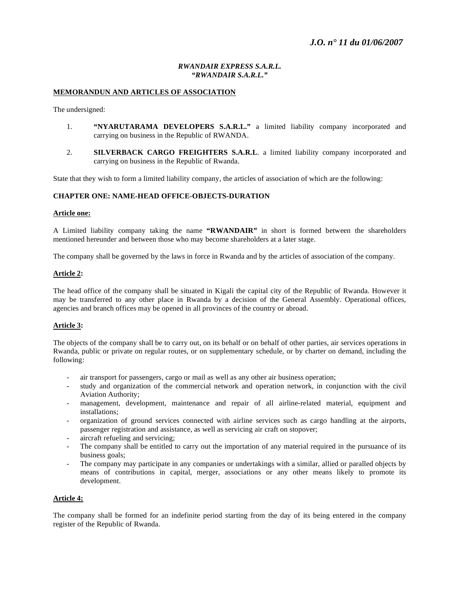### *RWANDAIR EXPRESS S.A.R.L. "RWANDAIR S.A.R.L."*

### **MEMORANDUN AND ARTICLES OF ASSOCIATION**

The undersigned:

- 1. **"NYARUTARAMA DEVELOPERS S.A.R.L."** a limited liability company incorporated and carrying on business in the Republic of RWANDA.
- 2. **SILVERBACK CARGO FREIGHTERS S.A.R.L**. a limited liability company incorporated and carrying on business in the Republic of Rwanda.

State that they wish to form a limited liability company, the articles of association of which are the following:

#### **CHAPTER ONE: NAME-HEAD OFFICE-OBJECTS-DURATION**

#### **Article one:**

A Limited liability company taking the name **"RWANDAIR"** in short is formed between the shareholders mentioned hereunder and between those who may become shareholders at a later stage.

The company shall be governed by the laws in force in Rwanda and by the articles of association of the company.

#### **Article 2:**

The head office of the company shall be situated in Kigali the capital city of the Republic of Rwanda. However it may be transferred to any other place in Rwanda by a decision of the General Assembly. Operational offices, agencies and branch offices may be opened in all provinces of the country or abroad.

#### **Article 3:**

The objects of the company shall be to carry out, on its behalf or on behalf of other parties, air services operations in Rwanda, public or private on regular routes, or on supplementary schedule, or by charter on demand, including the following:

- air transport for passengers, cargo or mail as well as any other air business operation;
- study and organization of the commercial network and operation network, in conjunction with the civil Aviation Authority;
- management, development, maintenance and repair of all airline-related material, equipment and installations;
- organization of ground services connected with airline services such as cargo handling at the airports, passenger registration and assistance, as well as servicing air craft on stopover;
- aircraft refueling and servicing;
- The company shall be entitled to carry out the importation of any material required in the pursuance of its business goals;
- The company may participate in any companies or undertakings with a similar, allied or paralled objects by means of contributions in capital, merger, associations or any other means likely to promote its development.

#### **Article 4:**

The company shall be formed for an indefinite period starting from the day of its being entered in the company register of the Republic of Rwanda.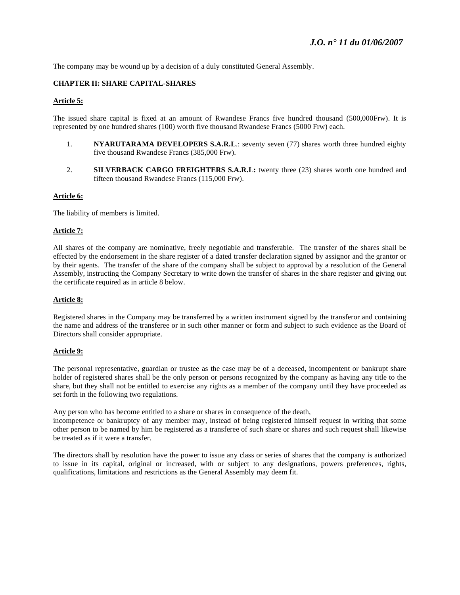The company may be wound up by a decision of a duly constituted General Assembly.

### **CHAPTER II: SHARE CAPITAL-SHARES**

### **Article 5:**

The issued share capital is fixed at an amount of Rwandese Francs five hundred thousand (500,000Frw). It is represented by one hundred shares (100) worth five thousand Rwandese Francs (5000 Frw) each.

- 1. **NYARUTARAMA DEVELOPERS S.A.R.L**.: seventy seven (77) shares worth three hundred eighty five thousand Rwandese Francs (385,000 Frw).
- 2. **SILVERBACK CARGO FREIGHTERS S.A.R.L:** twenty three (23) shares worth one hundred and fifteen thousand Rwandese Francs (115,000 Frw).

#### **Article 6:**

The liability of members is limited.

#### **Article 7:**

All shares of the company are nominative, freely negotiable and transferable. The transfer of the shares shall be effected by the endorsement in the share register of a dated transfer declaration signed by assignor and the grantor or by their agents. The transfer of the share of the company shall be subject to approval by a resolution of the General Assembly, instructing the Company Secretary to write down the transfer of shares in the share register and giving out the certificate required as in article 8 below.

### **Article 8:**

Registered shares in the Company may be transferred by a written instrument signed by the transferor and containing the name and address of the transferee or in such other manner or form and subject to such evidence as the Board of Directors shall consider appropriate.

#### **Article 9:**

The personal representative, guardian or trustee as the case may be of a deceased, incompentent or bankrupt share holder of registered shares shall be the only person or persons recognized by the company as having any title to the share, but they shall not be entitled to exercise any rights as a member of the company until they have proceeded as set forth in the following two regulations.

Any person who has become entitled to a share or shares in consequence of the death,

incompetence or bankruptcy of any member may, instead of being registered himself request in writing that some other person to be named by him be registered as a transferee of such share or shares and such request shall likewise be treated as if it were a transfer.

The directors shall by resolution have the power to issue any class or series of shares that the company is authorized to issue in its capital, original or increased, with or subject to any designations, powers preferences, rights, qualifications, limitations and restrictions as the General Assembly may deem fit.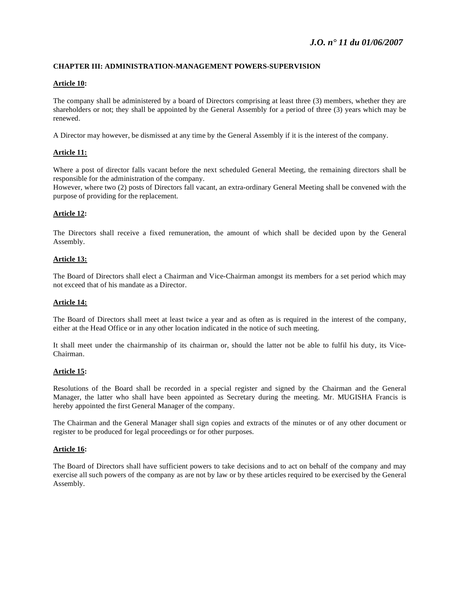### **CHAPTER III: ADMINISTRATION-MANAGEMENT POWERS-SUPERVISION**

### **Article 10:**

The company shall be administered by a board of Directors comprising at least three (3) members, whether they are shareholders or not; they shall be appointed by the General Assembly for a period of three (3) years which may be renewed.

A Director may however, be dismissed at any time by the General Assembly if it is the interest of the company.

### **Article 11:**

Where a post of director falls vacant before the next scheduled General Meeting, the remaining directors shall be responsible for the administration of the company.

However, where two (2) posts of Directors fall vacant, an extra-ordinary General Meeting shall be convened with the purpose of providing for the replacement.

### **Article 12:**

The Directors shall receive a fixed remuneration, the amount of which shall be decided upon by the General Assembly.

### **Article 13:**

The Board of Directors shall elect a Chairman and Vice-Chairman amongst its members for a set period which may not exceed that of his mandate as a Director.

#### **Article 14:**

The Board of Directors shall meet at least twice a year and as often as is required in the interest of the company, either at the Head Office or in any other location indicated in the notice of such meeting.

It shall meet under the chairmanship of its chairman or, should the latter not be able to fulfil his duty, its Vice-Chairman.

#### **Article 15:**

Resolutions of the Board shall be recorded in a special register and signed by the Chairman and the General Manager, the latter who shall have been appointed as Secretary during the meeting. Mr. MUGISHA Francis is hereby appointed the first General Manager of the company.

The Chairman and the General Manager shall sign copies and extracts of the minutes or of any other document or register to be produced for legal proceedings or for other purposes.

#### **Article 16:**

The Board of Directors shall have sufficient powers to take decisions and to act on behalf of the company and may exercise all such powers of the company as are not by law or by these articles required to be exercised by the General Assembly.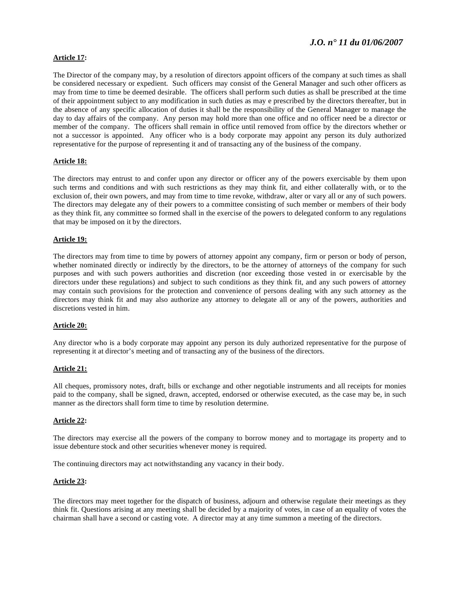# *J.O. n° 11 du 01/06/2007*

### **Article 17:**

The Director of the company may, by a resolution of directors appoint officers of the company at such times as shall be considered necessary or expedient. Such officers may consist of the General Manager and such other officers as may from time to time be deemed desirable. The officers shall perform such duties as shall be prescribed at the time of their appointment subject to any modification in such duties as may e prescribed by the directors thereafter, but in the absence of any specific allocation of duties it shall be the responsibility of the General Manager to manage the day to day affairs of the company. Any person may hold more than one office and no officer need be a director or member of the company. The officers shall remain in office until removed from office by the directors whether or not a successor is appointed. Any officer who is a body corporate may appoint any person its duly authorized representative for the purpose of representing it and of transacting any of the business of the company.

### **Article 18:**

The directors may entrust to and confer upon any director or officer any of the powers exercisable by them upon such terms and conditions and with such restrictions as they may think fit, and either collaterally with, or to the exclusion of, their own powers, and may from time to time revoke, withdraw, alter or vary all or any of such powers. The directors may delegate any of their powers to a committee consisting of such member or members of their body as they think fit, any committee so formed shall in the exercise of the powers to delegated conform to any regulations that may be imposed on it by the directors.

#### **Article 19:**

The directors may from time to time by powers of attorney appoint any company, firm or person or body of person, whether nominated directly or indirectly by the directors, to be the attorney of attorneys of the company for such purposes and with such powers authorities and discretion (nor exceeding those vested in or exercisable by the directors under these regulations) and subject to such conditions as they think fit, and any such powers of attorney may contain such provisions for the protection and convenience of persons dealing with any such attorney as the directors may think fit and may also authorize any attorney to delegate all or any of the powers, authorities and discretions vested in him.

### **Article 20:**

Any director who is a body corporate may appoint any person its duly authorized representative for the purpose of representing it at director's meeting and of transacting any of the business of the directors.

#### **Article 21:**

All cheques, promissory notes, draft, bills or exchange and other negotiable instruments and all receipts for monies paid to the company, shall be signed, drawn, accepted, endorsed or otherwise executed, as the case may be, in such manner as the directors shall form time to time by resolution determine.

#### **Article 22:**

The directors may exercise all the powers of the company to borrow money and to mortagage its property and to issue debenture stock and other securities whenever money is required.

The continuing directors may act notwithstanding any vacancy in their body.

#### **Article 23:**

The directors may meet together for the dispatch of business, adjourn and otherwise regulate their meetings as they think fit. Questions arising at any meeting shall be decided by a majority of votes, in case of an equality of votes the chairman shall have a second or casting vote. A director may at any time summon a meeting of the directors.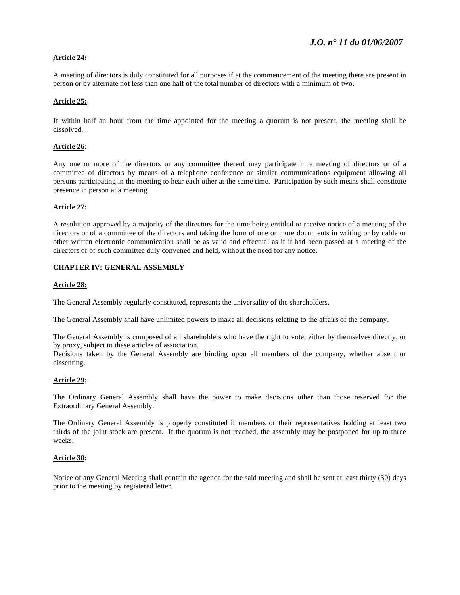### **Article 24:**

A meeting of directors is duly constituted for all purposes if at the commencement of the meeting there are present in person or by alternate not less than one half of the total number of directors with a minimum of two.

### **Article 25:**

If within half an hour from the time appointed for the meeting a quorum is not present, the meeting shall be dissolved.

### **Article 26:**

Any one or more of the directors or any committee thereof may participate in a meeting of directors or of a committee of directors by means of a telephone conference or similar communications equipment allowing all persons participating in the meeting to hear each other at the same time. Participation by such means shall constitute presence in person at a meeting.

### **Article 27:**

A resolution approved by a majority of the directors for the time being entitled to receive notice of a meeting of the directors or of a committee of the directors and taking the form of one or more documents in writing or by cable or other written electronic communication shall be as valid and effectual as if it had been passed at a meeting of the directors or of such committee duly convened and held, without the need for any notice.

### **CHAPTER IV: GENERAL ASSEMBLY**

### **Article 28:**

The General Assembly regularly constituted, represents the universality of the shareholders.

The General Assembly shall have unlimited powers to make all decisions relating to the affairs of the company.

The General Assembly is composed of all shareholders who have the right to vote, either by themselves directly, or by proxy, subject to these articles of association.

Decisions taken by the General Assembly are binding upon all members of the company, whether absent or dissenting.

### **Article 29:**

The Ordinary General Assembly shall have the power to make decisions other than those reserved for the Extraordinary General Assembly.

The Ordinary General Assembly is properly constituted if members or their representatives holding at least two thirds of the joint stock are present. If the quorum is not reached, the assembly may be postponed for up to three weeks.

### **Article 30:**

Notice of any General Meeting shall contain the agenda for the said meeting and shall be sent at least thirty (30) days prior to the meeting by registered letter.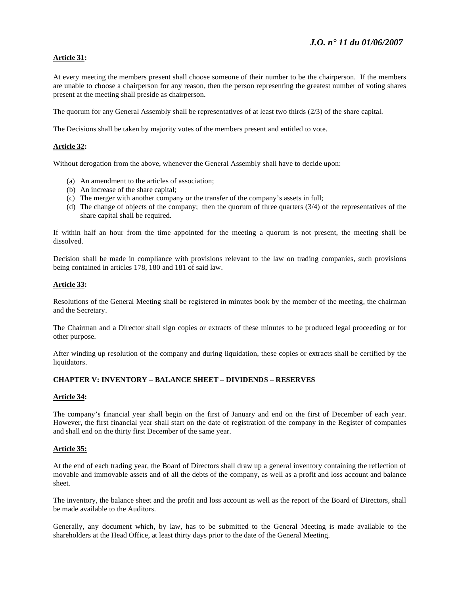### **Article 31:**

At every meeting the members present shall choose someone of their number to be the chairperson. If the members are unable to choose a chairperson for any reason, then the person representing the greatest number of voting shares present at the meeting shall preside as chairperson.

The quorum for any General Assembly shall be representatives of at least two thirds (2/3) of the share capital.

The Decisions shall be taken by majority votes of the members present and entitled to vote.

### **Article 32:**

Without derogation from the above, whenever the General Assembly shall have to decide upon:

- (a) An amendment to the articles of association;
- (b) An increase of the share capital;
- (c) The merger with another company or the transfer of the company's assets in full;
- (d) The change of objects of the company; then the quorum of three quarters (3/4) of the representatives of the share capital shall be required.

If within half an hour from the time appointed for the meeting a quorum is not present, the meeting shall be dissolved.

Decision shall be made in compliance with provisions relevant to the law on trading companies, such provisions being contained in articles 178, 180 and 181 of said law.

#### **Article 33:**

Resolutions of the General Meeting shall be registered in minutes book by the member of the meeting, the chairman and the Secretary.

The Chairman and a Director shall sign copies or extracts of these minutes to be produced legal proceeding or for other purpose.

After winding up resolution of the company and during liquidation, these copies or extracts shall be certified by the liquidators.

### **CHAPTER V: INVENTORY – BALANCE SHEET – DIVIDENDS – RESERVES**

#### **Article 34:**

The company's financial year shall begin on the first of January and end on the first of December of each year. However, the first financial year shall start on the date of registration of the company in the Register of companies and shall end on the thirty first December of the same year.

#### **Article 35:**

At the end of each trading year, the Board of Directors shall draw up a general inventory containing the reflection of movable and immovable assets and of all the debts of the company, as well as a profit and loss account and balance sheet.

The inventory, the balance sheet and the profit and loss account as well as the report of the Board of Directors, shall be made available to the Auditors.

Generally, any document which, by law, has to be submitted to the General Meeting is made available to the shareholders at the Head Office, at least thirty days prior to the date of the General Meeting.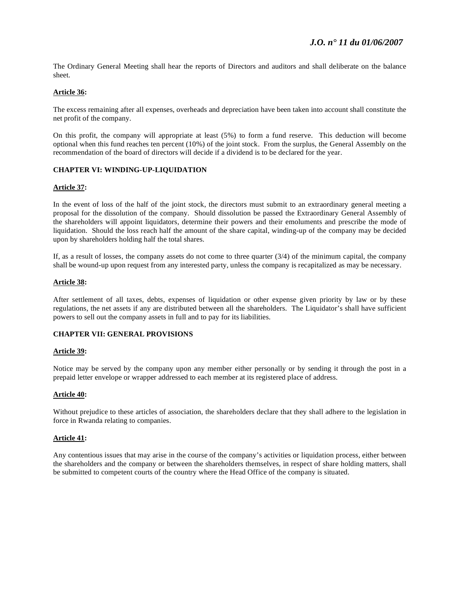The Ordinary General Meeting shall hear the reports of Directors and auditors and shall deliberate on the balance sheet.

### **Article 36:**

The excess remaining after all expenses, overheads and depreciation have been taken into account shall constitute the net profit of the company.

On this profit, the company will appropriate at least (5%) to form a fund reserve. This deduction will become optional when this fund reaches ten percent (10%) of the joint stock. From the surplus, the General Assembly on the recommendation of the board of directors will decide if a dividend is to be declared for the year.

### **CHAPTER VI: WINDING-UP-LIQUIDATION**

#### **Article 37:**

In the event of loss of the half of the joint stock, the directors must submit to an extraordinary general meeting a proposal for the dissolution of the company. Should dissolution be passed the Extraordinary General Assembly of the shareholders will appoint liquidators, determine their powers and their emoluments and prescribe the mode of liquidation. Should the loss reach half the amount of the share capital, winding-up of the company may be decided upon by shareholders holding half the total shares.

If, as a result of losses, the company assets do not come to three quarter  $(3/4)$  of the minimum capital, the company shall be wound-up upon request from any interested party, unless the company is recapitalized as may be necessary.

#### **Article 38:**

After settlement of all taxes, debts, expenses of liquidation or other expense given priority by law or by these regulations, the net assets if any are distributed between all the shareholders. The Liquidator's shall have sufficient powers to sell out the company assets in full and to pay for its liabilities.

### **CHAPTER VII: GENERAL PROVISIONS**

#### **Article 39:**

Notice may be served by the company upon any member either personally or by sending it through the post in a prepaid letter envelope or wrapper addressed to each member at its registered place of address.

#### **Article 40:**

Without prejudice to these articles of association, the shareholders declare that they shall adhere to the legislation in force in Rwanda relating to companies.

#### **Article 41:**

Any contentious issues that may arise in the course of the company's activities or liquidation process, either between the shareholders and the company or between the shareholders themselves, in respect of share holding matters, shall be submitted to competent courts of the country where the Head Office of the company is situated.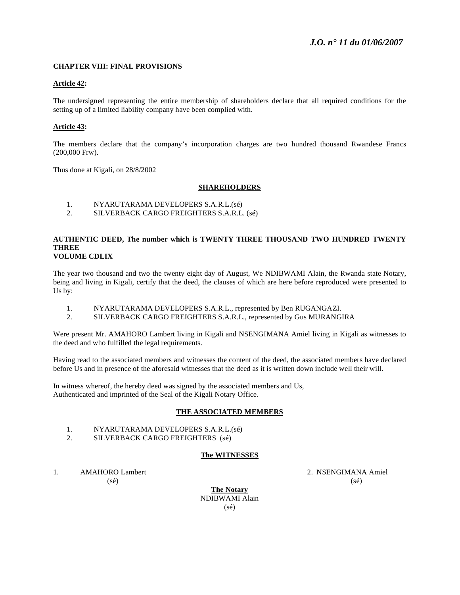### **CHAPTER VIII: FINAL PROVISIONS**

#### **Article 42:**

The undersigned representing the entire membership of shareholders declare that all required conditions for the setting up of a limited liability company have been complied with.

### **Article 43:**

The members declare that the company's incorporation charges are two hundred thousand Rwandese Francs (200,000 Frw).

Thus done at Kigali, on 28/8/2002

#### **SHAREHOLDERS**

- 1. NYARUTARAMA DEVELOPERS S.A.R.L.(sé)
- 2. SILVERBACK CARGO FREIGHTERS S.A.R.L. (sé)

#### **AUTHENTIC DEED, The number which is TWENTY THREE THOUSAND TWO HUNDRED TWENTY THREE VOLUME CDLIX**

The year two thousand and two the twenty eight day of August, We NDIBWAMI Alain, the Rwanda state Notary, being and living in Kigali, certify that the deed, the clauses of which are here before reproduced were presented to Us by:

- 1. NYARUTARAMA DEVELOPERS S.A.R.L., represented by Ben RUGANGAZI.
- 2. SILVERBACK CARGO FREIGHTERS S.A.R.L., represented by Gus MURANGIRA

Were present Mr. AMAHORO Lambert living in Kigali and NSENGIMANA Amiel living in Kigali as witnesses to the deed and who fulfilled the legal requirements.

Having read to the associated members and witnesses the content of the deed, the associated members have declared before Us and in presence of the aforesaid witnesses that the deed as it is written down include well their will.

In witness whereof, the hereby deed was signed by the associated members and Us, Authenticated and imprinted of the Seal of the Kigali Notary Office.

### **THE ASSOCIATED MEMBERS**

- 1. NYARUTARAMA DEVELOPERS S.A.R.L.(sé)
- 2. SILVERBACK CARGO FREIGHTERS (sé)

### **The WITNESSES**

1. AMAHORO Lambert 2. NSENGIMANA Amiel

 $(s\acute{e})$  (sé)

**The Notary** NDIBWAMI Alain (sé)